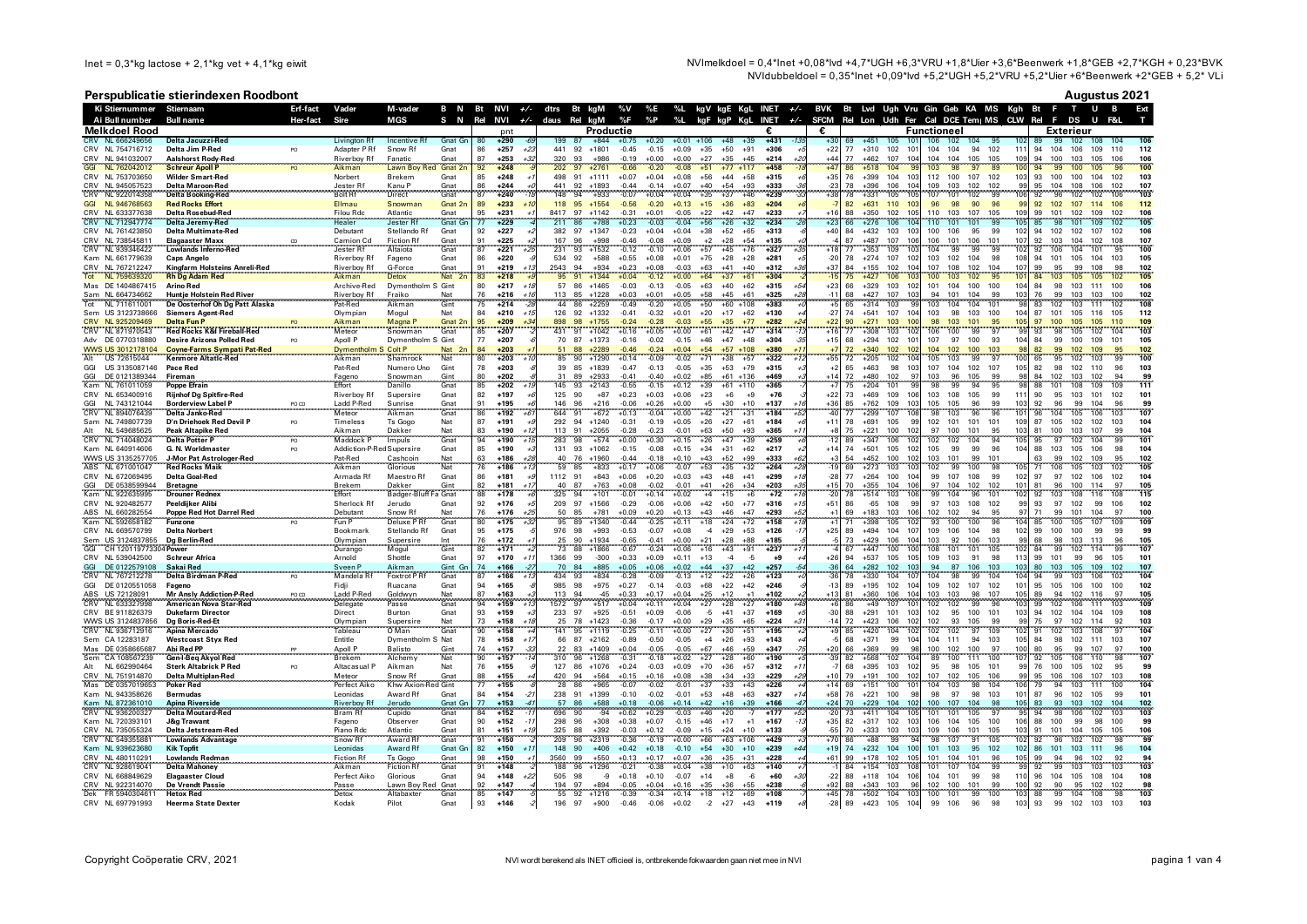NVImelkdoel = 0,4\*Inet +0,08\*lvd +4,7\*UGH +6,3\*VRU +1,8\*Uier +3,6\*Beenwerk +1,8\*GEB +2,7\*KGH + 0,23\*BVK NVIdubbeldoel = 0.35\*lnet +0.09\*lvd +5.2\*UGH +5.2\*VRU +5.2\*Vier +6\*Beenwerk +2\*GEB + 5.2\* VLi

## Perspublicatie stierindexen Roodbont

**Augustus 2021** 

|            | Ki Stiernummer                        | Stiernaam                                                        | Erf-fact | Vader                             | M-vader                        |                    |          | B N Bt NVI $+/-$ |                | dtrs Bt kgM              |          |                    |                    |                    |                    |                |                                   |                            |                   | %V %E %L kgV kgE KgL INET +⁄- BVK Bt Lvd Ugh Vru Gin Geb KA MS Kgh Bt F T U B                                                                                                                                                      |
|------------|---------------------------------------|------------------------------------------------------------------|----------|-----------------------------------|--------------------------------|--------------------|----------|------------------|----------------|--------------------------|----------|--------------------|--------------------|--------------------|--------------------|----------------|-----------------------------------|----------------------------|-------------------|------------------------------------------------------------------------------------------------------------------------------------------------------------------------------------------------------------------------------------|
|            | Ai Bull number                        | <b>Bull name</b>                                                 | Her-fact | Sire                              | <b>MGS</b>                     | S N                | Rel      | <b>NVI</b>       |                | $+\sqrt{-}$ daus Rel kgM |          |                    | %F                 | %P                 | %L                 |                |                                   | kgF kgP KgL INET $+/-$     | <b>SFCM</b>       | Rel Lon Udh Fer Cal DCE Tem MS CLW Rel F DS<br>$\blacksquare$                                                                                                                                                                      |
|            | <b>Melkdoel Rood</b>                  |                                                                  |          |                                   |                                |                    |          | pnt              |                |                          |          | Productie          |                    |                    |                    |                |                                   | €                          | €                 | <b>Functioneel</b><br><b>Exterieur</b>                                                                                                                                                                                             |
|            | CRV NL 666249656                      | Delta Jacuzzi-Red                                                |          | Livington Rf                      | Incentive Rt                   | Gnat Gn            | -80      | $+290$           | -6.            | 199<br>441               | 87       | $+844$<br>$+1801$  | $+0.75$<br>$-0.45$ | $+0.20$            | $+0.01 +106$       |                | $+48$<br>$+39$<br>$+91$           | $+431$<br>$-1.3$<br>$+306$ | $+30$             | $+451$<br>106<br>102 104<br>99<br>102<br>106<br>-69<br>105<br>- 95<br>102<br>89<br>108<br>104<br>112<br>10'                                                                                                                        |
|            | CRV NL 754716712<br>CRV NL 941032007  | Delta Jim P-Red<br><b>Aalshorst Rody-Red</b>                     | PO       | Adapter PRf<br><b>Riverboy Rf</b> | Snow Rf<br>Fanatic             | Gnat<br>Gnat       | 86<br>87 | $+257$<br>$+253$ | $+23$<br>$+32$ | 320                      | 92<br>93 | +986               | $-0.19$            | $-0.15$<br>$+0.00$ | $+0.09$<br>$+0.00$ | $+35$<br>$+27$ | $+50$<br>$+35$<br>$+45$           | $+214$                     | $+22$<br>$+44$    | $+310$<br>102<br>104<br>94<br>111<br>110<br>77<br>104<br>102<br>94<br>104<br>106<br>109<br>$+462$<br>107<br>10 <sub>1</sub><br>104<br>104<br>105<br>105<br>109<br>100<br>103<br>105<br>106<br>106<br>77<br>94                      |
|            | NL 762042012                          | <b>Schreur Apoll P</b>                                           | PO       | Aikman                            | Lawn Boy Red Gnat 2n           |                    | 92       | $+248$           |                |                          | 97       | $+2761$            | $-0.66$            | $-0.20$            | $-0.08$            | $+51$          | $+77$<br>$+117$                   | $+458$                     | $+47$             | 103<br>100<br>100<br>$+518$<br>98<br>97<br>100                                                                                                                                                                                     |
| CRV        | NL 753703650                          | <b>Wilder Smart-Red</b>                                          |          | Norbert                           | Brekem                         | Gnat               | 85       | $+248$           |                | 498                      | 91       | $+1111$            | $+0.07$            | $+0.04$            | $+0.08$            | $+56$          | $+44$<br>$+58$                    | $+315$                     | $+35$             | 104<br>112<br>100<br>93<br>103<br>76<br>$+399$<br>10<br>107<br>102<br>103<br>100<br>100<br>104<br>102                                                                                                                              |
|            | CRV NL 945057523                      | <b>Delta Maroon-Red</b>                                          |          | Jester Rf                         | Kanu P                         | Gnat               | 86       | $+244$           |                | 441                      | 92       | $+1893$            | $-0.44$            | $-0.14$            | $+0.07$            | $+40$          | $+54$<br>$+93$                    | +333                       | $-23$             | $+396$<br>106<br>104<br>109<br>103<br>102<br>95<br>108<br>106<br>102<br>107<br>78<br>102<br>99<br>104                                                                                                                              |
| <b>CRV</b> | NL 922014358                          | <b>Delta Booking-Red</b>                                         |          | <b>Bolt Rf</b>                    | Direct                         | Gnat               | 87       | $+240$           |                | 148                      | 94       | $+933$             | $-0.07$            | $+0.04$            | $+0.04$            | $+35$          | $+37$<br>$+46$                    | $+239$                     | $+38$             | 103<br>102<br>107<br>101<br>99<br>96<br>102<br>78<br>$+331$<br>105<br>10 <sup>1</sup><br>106<br>-92<br>102<br>106                                                                                                                  |
| GGI        | NL 946768563                          | <b>Red Rocks Effort</b>                                          |          | <b>Filmau</b>                     | Snowmar                        | Gnat 2n            | 89       | $+233$           |                | 118<br>8417              | 95<br>97 | $+1554$            | $-0.56$            | $-0.20$            | $+0.13$            | $+15$          | $+36$<br>$+83$<br>$+42$<br>$+47$  | $+204$                     | $+16$             | 96<br>98<br>90<br>92 102<br>107<br>112<br>82<br>$+631$<br>110<br>103<br>96<br>99<br>114<br>106<br>88<br>$+350$<br>105<br>110<br>102                                                                                                |
|            | CRV NL 633377638<br>CRV NL 712947774  | Delta Rosebud-Red<br>Delta Jeremy-Red                            |          | <b>Filou Rdc</b><br><b>Healer</b> | Atlantic<br><b>Jester Rt</b>   | Gnat<br>Gnat Gn    | 95<br>77 | $+231$<br>$+229$ |                | 211                      | 86       | $+1142$<br>$+788$  | $-0.31$<br>$+0.23$ | $+0.01$<br>$-0.03$ | $-0.05$<br>$-0.04$ | $+22$<br>$+56$ | $+26$<br>$+32$                    | $+233$<br>$+234$           | $+23$             | 102<br>103<br>107<br>105<br>109<br>99<br>101<br>102<br>109<br>106<br>105<br>$+276$<br>101<br>101<br>105<br>109<br>66<br>106<br>10 <sub>1</sub><br>110<br>85<br>98<br>101<br>102                                                    |
|            | CRV NL 761423850                      | <b>Delta Multimate-Red</b>                                       |          | Debutant                          | Stellando Rf                   | Gnat               | 92       | $+227$           |                | 382                      | 97       | $+1347$            | $-0.23$            | $+0.04$            | $+0.04$            | $+38$          | $+52$<br>$+65$                    | $+313$                     | $+40$             | 106<br>84<br>$+432$<br>103<br>103<br>100<br>106<br>95<br>99<br>102<br>94<br>102<br>102<br>107<br>102                                                                                                                               |
|            | CRV NL 738545811                      | <b>Elagaaster Maxx</b>                                           | CD       | Camion Cd                         | <b>Fiction Rf</b>              | Gnat               | 91       | $+225$           |                | 167                      | 96       | $+998$             | $-0.46$            | $-0.08$            | $+0.09$            | $+2$           | $+28$<br>$+54$                    | $+135$                     |                   | 106<br>101<br>106<br>107<br>107<br>87<br>$+487$<br>107<br>106<br>101<br>92<br>103<br>104<br>102<br>108                                                                                                                             |
|            | CRV NL 939346422                      | <b>Lowlands Inferno-Red</b>                                      |          | Jester Rf                         | Altaiota                       | Gnat               | 87       | $+221$           | $+2$           | 231                      | 93       | $+1532$            | $-0.12$            | $-0.10$            | $+0.06$            | $+57$          | $+45$<br>$+76$                    | $+327$                     |                   | 100<br>$+353$<br>109<br>10 <sup>1</sup><br>104<br>99<br>99<br>99<br>102<br>104<br>92<br>106<br>101                                                                                                                                 |
|            | Kam NL 661779639                      | <b>Caps Angelo</b>                                               |          | <b>Riverboy Rf</b>                | Fageno                         | Gnat               | 86       | $+220$           |                | 534                      | 92       | $+588$             | $+0.55$            | $+0.08$            | $+0.01$            | $+75$          | $+28$<br>$+28$                    | $+281$                     | $-20$             | 78<br>$+274$<br>107<br>102<br>103<br>102<br>104<br>98<br>108<br>94<br>105<br>104<br>103<br>105<br>101                                                                                                                              |
|            | CRV NL 767212247<br>NL 759639320      | Kingfarm Holsteins Anreli-Red                                    |          | Riverboy Rf                       | G-Force<br><b>Detox</b>        | Gnat<br><b>Nat</b> | 91       | $+219$           |                | 2543<br>95               | 94<br>91 | $+934$             | $+0.23$            | $+0.08$            | $-0.03$            | $+63$          | $+41$<br>$+40$                    | $+312$                     | $+37$             | 107<br>102<br>84<br>$+155$<br>102<br>10 <sub>1</sub><br>107<br>108<br>102<br>104<br>99<br>95<br>99<br>108<br>98<br>$+427$<br>95<br>105                                                                                             |
|            | Mas DE 1404867415                     | <b>Rh Dg Adam Red</b><br><b>Arino Red</b>                        |          | Aikman<br>Archive-Red             | S Gint<br>Dymentholm           |                    | 83<br>80 | $+218$<br>$+217$ | $+1i$          | 57                       | 86       | $+1344$<br>$+1465$ | $+0.04$<br>$-0.03$ | $-0.12$<br>$-0.13$ | $+0.00$<br>$-0.05$ | $+64$<br>$+63$ | $+37$<br>$+61$<br>$+40$<br>$+62$  | +304<br>$+315$             | $+23$             | 106<br>10 <sub>2</sub><br>100<br>103<br>102<br>10 <sup>1</sup><br>84<br>103<br>105<br>105<br>106<br>66<br>$+329$<br>103<br>101<br>101<br>104<br>100<br>100<br>104<br>84<br>98<br>103<br>111<br>100                                 |
|            | Sam NL 664734662                      | Huntje Holstein Red River                                        |          | Riverboy Rf                       | Fraiko                         |                    | 76       | $+216$           |                | 113                      | 85       | $+1228$            | $+0.03$            | $+0.01$            | $+0.05$            | $+58$          | $+45$<br>$+61$                    | $+325$                     | $-1$ <sup>-</sup> | $+427$<br>107<br>94<br>101<br>104<br>103<br>99<br>103<br>68<br>103<br>99<br>76<br>103<br>100                                                                                                                                       |
|            | NL 711611001                          | De Oosterhof Oh Dg Patt Alaska                                   |          | Pat-Red                           | Aikman                         | Nat<br>Gint        | 75       | $+214$           |                | 44                       | 86       | $+2259$            | $-0.49$            | $-0.20$            | $+0.05$            | $+50$          | $+60$<br>$+108$                   | $+383$                     |                   | 102<br>108<br>gc<br>103<br>104<br>qs<br>$+314$<br>103<br>104<br>101<br>83<br>102<br>103<br>111<br>102<br>65                                                                                                                        |
|            | Sem US 3123738666                     | <b>Siemers Agent-Red</b>                                         |          | Olympian                          | Mogul                          | Nat                | 84       | $+210$           | $+74$          | 126                      | 92       | $+1332$            | $-0.41$            | $-0.32$            | $+0.01$            | $+20$          | $+17$<br>$+62$                    | $+130$                     | $-27$             | 74<br>$+541$<br>107<br>104<br>103<br>98<br>103<br>100<br>104<br>87 101<br>105<br>116<br>105<br>112                                                                                                                                 |
|            | CRV NL 925209469                      | <b>Delta Fun F</b>                                               |          | Aikman<br>Meteor                  | Magna P                        | Gnat<br>2r         | 95       | $+209$           |                |                          | 98       | $+1755$            |                    | $-0.28$            |                    |                |                                   | $+282$                     |                   | 103<br>90<br>$+271$<br>103<br>98<br>101<br>97<br>100<br>105<br>109<br>103                                                                                                                                                          |
|            | CRV NL 871970543                      |                                                                  |          |                                   | Snowman                        | Gnat               | 85       | $+207$           |                | 431                      | 91       | $+1042$            | $+0.16$            | $+0.05$            | $+0.00$            | $+61$          | $+42$<br>$+47$                    | $+314$                     |                   | 99<br>77<br>103<br>106<br>98<br>$+308$<br>10:<br>100<br>93<br>105<br>102                                                                                                                                                           |
|            | DE 0770318880<br>WWS US 3012178104    | <b>Desire Arizona Polled Red</b>                                 |          | Apoll P<br>Dymentholm S. Colt P   | Dymentholm S Gint              | Nat <sub>2r</sub>  | 77<br>84 | $+207$<br>$+203$ |                | 70<br>51                 | 87<br>88 | $+1373$<br>$+2289$ | $-0.16$<br>$-0.46$ | $-0.02$<br>$-0.24$ | $-0.15$<br>$+0.04$ | $+46$<br>$+54$ | $+47$<br>$+48$<br>$+57$<br>$+108$ | $+304$<br>$+380$           | $+15$             | $+294$<br>107<br>97<br>100<br>99<br>100<br>109<br>105<br>68<br>102<br>101<br>93<br>104<br>84<br>101<br>100<br>102<br>72<br>$+340$<br>104<br>102<br>103<br>Q <sub>i</sub><br>82<br>99<br>102<br>109<br>102<br>10 <sup>2</sup><br>95 |
| Alt        | US 72615044                           | <b>Coyne-Farms Sympati Pat-Red</b><br><b>Kenmore Altatic-Red</b> |          | Aikman                            | Shamrock                       | Nat                | 80       | $+203$           | +1             | 85                       | 90       | $+1290$            | $+0.14$            | $-0.09$            | $-0.02$            | $+71$          | $+38$<br>$+57$                    | $+322$                     | $+55$             | 100<br>10 <sub>4</sub><br>105<br>99<br>97<br>100<br>65<br>95<br>99<br>102<br>102<br>72<br>$+205$<br>103<br>103                                                                                                                     |
| GGI        | US 3135087146                         | Pace Red                                                         |          | Pat-Red                           | Numero Uno                     | Gint               | 78       | $+203$           |                | 39                       | 85       | $+1839$            | $-0.47$            | $-0.13$            | $-0.05$            | $+35$          | $+53$<br>$+79$                    | $+315$                     |                   | 102<br>96<br>103<br>65<br>$+463$<br>98<br>101<br>107<br>104<br>107<br>105<br>82<br>98<br>102<br>110                                                                                                                                |
|            | DE 0121389344                         | Fireman                                                          |          | Fageno                            | Snowman                        | Gint               | 80       | $+202$           |                |                          | 89       | +2933              | $-0.41$            | $-0.40$            | $+0.02$            | $+85$          | $+61$<br>$+136$                   | +469                       | $+14$             | 72<br>$+480$<br>102<br>103<br>96<br>105<br>102<br>103<br>102<br>94<br>99<br>91<br>99<br><b>QS</b><br>84                                                                                                                            |
| Kam        | NL 761011059                          | Poppe Efrain                                                     |          | Effort                            | Danillo                        | Gnat               | 85       | $+202$           |                | 145                      | 93       | $+2143$            | $-0.55$            | $-0.15$            | $+0.12$            | $+39$          | $+61$<br>$+110$                   | +365                       |                   | 111<br>99<br>$+204$<br>101<br>98<br>94<br>108<br>109<br>75<br>88                                                                                                                                                                   |
|            | CRV NL 653400916                      | <b>Riinhof Da Spitfire-Red</b>                                   |          | <b>Riverboy Rf</b>                | Supersire                      | Gnat               | 82       | $+197$           |                | 125                      | 90       | $+87$              | $+0.23$            | $+0.03$            | $+0.06$            | $+23$          | $+9$<br>$+6$                      | $+76$                      | $+22$             | 101<br>$+469$<br>109<br>106<br>103<br>108<br>105<br>99<br>11'<br>90<br>103<br>101<br>102<br>73<br>95                                                                                                                               |
| GGI        | NL 743121044                          | <b>Borderview Label P</b>                                        | PO CD    | Ladd P-Red                        | Sunrise                        | Gnat<br>Gnat       | 91       | $+195$           |                | 146<br>644               | 96<br>91 | $+216$             | $-0.06$            | $+0.26$            | $+0.00$            | $+5$           | $+30$<br>$+10$                    | $+137$<br>$+184$           | $+36$             | $+762$<br>105<br>105<br>96<br>96<br>109<br>103<br>10.2<br>92<br>96<br>99<br>104<br>96<br>99<br>85<br>99<br>107<br>96<br>101<br>104<br>10 <sub>i</sub>                                                                              |
|            | CRV NL 894076439<br>Sam NL 749807739  | Delta Janko-Red<br>D'n Driehoek Red Devil P                      | PO       | Meteor<br>Timeless                | Aikman<br>Ts Gogo              | Nat                | 86<br>87 | $+192$<br>$+191$ | $+6$           | 292                      | 94       | $+672$<br>$+1240$  | $+0.13$<br>$-0.31$ | $-0.04$<br>$-0.19$ | $+0.00$<br>$+0.05$ | $+42$<br>$+26$ | $+21$<br>$+31$<br>$+27$<br>$+61$  | $+184$                     | $+1$ <sup>*</sup> | 98<br>103<br>105<br>106<br>103<br>$+299$<br>107<br>96<br>102<br>104<br>78<br>$+691$<br>105<br>99<br>101<br>101<br>101<br>109<br>87<br>105<br>102<br>102<br>103                                                                     |
| Alt        | NL 549685625                          | <b>Peak Altapike Red</b>                                         |          | Aikman                            | Dakker                         | Nat                | 83       | $+190$           | $+12$          | 113                      | 91       | $+2055$            | $-0.28$            | $-0.23$            | $-0.01$            | $+63$          | $+50$<br>$+93$                    | $+365$<br>$+1$             |                   | 75<br>$+221$<br>100<br>102<br>97<br>100<br>101<br>95<br>103<br>81<br>100<br>103<br>107<br>99<br>104                                                                                                                                |
|            | CRV NL 714048024                      | <b>Delta Potter P</b>                                            | PO       | Maddock                           | Impuls                         | Gnat               | 94       | $+190$           | $+1.5$         | 283                      | 98       | $+574$             | $+0.00$            | $+0.30$            | $+0.15$            | $+26$          | $+47$<br>$+39$                    | $+259$                     | $-12$             | 101<br>10 <sub>7</sub><br>102<br>104<br>104<br>99<br>89<br>$+347$<br>106<br>102<br>94<br>10!<br>95<br>97<br>102                                                                                                                    |
|            | Kam NL 640914606                      | G. N. Worldmaster                                                | PO       | Addiction-P-Red Supersire         |                                | Gnat               | 85       | $+190$           |                | 131                      | 93       | $+1062$            | $-0.15$            | $-0.08$            | $+0.15$            | $+34$          | $+31$<br>$+62$                    | $+217$                     | $+14$             | 102<br>105<br>99<br>99<br>106<br>98<br>104<br>74<br>$+501$<br>105<br>96<br>104<br>88<br>103<br>105                                                                                                                                 |
|            | WWS US 3135257705                     | J-Mor Pat Astrologer-Red                                         |          | Pat-Red                           | Cashcoin                       | Nat                | 63       | $+186$           | $+28$          | 40                       | 76       | $+1960$            | $-0.44$            | $-0.18$            | $+0.10$            | $+43$          | $+52$<br>$+99$                    | +333                       | $+3$              | 99<br>102<br>54<br>$+452$<br>100<br>102<br>103<br>101<br>101<br>63<br>99<br>102<br>109<br>95                                                                                                                                       |
|            | ABS NL 671001047                      | <b>Red Rocks Maik</b>                                            |          | Aikman                            | Glorious                       | Nat                | 76       | $+186$           | $+1.$          | 59                       | 85       | $+833$             | $+0.17$            | $+0.06$            | $-0.07$            | $+53$          | $+35$<br>$+32$                    | $+264$                     |                   | 105<br>102<br>69<br>$+273$<br>103<br>10 <sup>2</sup><br>99<br>100<br>98<br>71<br>105<br>103<br>10!<br>106<br>102                                                                                                                   |
|            | CRV NL 672069495<br>GGI DE 0538599944 | <b>Delta Goal-Red</b>                                            |          | Armada Rf<br>Brekem               | Maestro Rf<br>Dakker           | Gnat<br>Gint       | 86<br>82 | $+181$<br>$+181$ | $+1$           | 1112<br>40               | 91<br>87 | $+843$<br>$+763$   | $+0.06$<br>$+0.08$ | $+0.20$<br>$-0.02$ | $+0.03$<br>$-0.01$ | $+43$<br>$+41$ | $+48$<br>$+41$<br>$+26$<br>$+34$  | $+299$<br>$+203$<br>$+3$   | $-28$<br>$+15$    | 100<br>99<br>107<br>102<br>104<br>77<br>$+264$<br>10 <sub>4</sub><br>108<br>99<br>102<br>97<br>97<br>106<br>102<br>105<br>$+355$<br>106<br>97<br>104<br>102<br>102<br>101<br>100<br>70<br>104<br>81<br>96<br>114<br>97             |
| Kam        | NL 922635995                          | <b>Bretagne</b><br>Drouner Rednex                                |          | Effort                            | Badger-Bluff                   | a Gnat             | 88       | $+178$           |                | 325                      | 94       | $+101$             | $-0.01$            | $+0.14$            | $+0.02$            | $+4$           | $+15$<br>+6                       | $+72$                      | $-20$             | 115<br>102<br>103<br>99<br>104<br>96<br>92<br>103<br>108<br>78<br>$+514$<br>10 <sub>1</sub><br>101<br>116<br>108                                                                                                                   |
|            | CRV NL 920482577                      | Peeldiiker Alibi                                                 |          | Sherlock Rf                       | Jerudo                         | Gnat               | 92       | $+176$           |                | 209                      | 97       | $+1566$            | $-0.29$            | $-0.06$            | $+0.06$            | $+42$          | $+50$<br>$+77$                    | $+316$                     | $+51$             | $-65$<br>108<br>99<br>97<br>103<br>108<br>102<br>99<br>93<br>97<br>102<br>99<br>106<br>102<br>86                                                                                                                                   |
|            | ABS NL 660282554                      | <b>Poppe Red Hot Darrel Red</b>                                  |          | Debutant                          | Snow Rf                        | Nat                | 76       | $+176$           | $+25$          | 50                       | 85       | $+781$             | $+0.09$            | $+0.20$            | $+0.13$            | $+43$          | $+46$<br>$+47$                    | $+293$                     |                   | 69<br>$+183$<br>103<br>106<br>102<br>102<br>94<br>95<br>71<br>99<br>101<br>104<br>97<br>100                                                                                                                                        |
|            | Kam NL 592658182                      | <b>Funzone</b>                                                   |          | Fun P                             | Deluxe PR                      | Gnat               | 80       | $+175$           | $+3.$          | 95                       | 89       | $+1340$            | $-0.44$            | $-0.25$            | $+0.11$            | $+18$          | $+24$<br>$+72$                    | $+158$                     |                   | 109<br>100<br>109<br>$+398$<br>105<br>100<br>107<br>93<br>100<br>105<br>10:<br>85                                                                                                                                                  |
|            | CRV NL 669570799                      | <b>Delta Norbert</b>                                             |          | Bookmark                          | Stellando Rf                   | Gnat               | 95       | $+175$           |                | 976                      | 98       | $+993$             | $-0.53$            | $-0.07$            | $+0.08$            | $-4$           | $+29$<br>$+53$                    | $+126$                     | $+25$             | 99<br>89<br>$+494$<br>104<br>107<br>109<br>106<br>104<br>98<br>102<br>99<br>100<br>100<br>99<br>99                                                                                                                                 |
| GGI        | Sem US 3124837855<br>CH 12011977330   | Dg Berlin-Red<br>4 Power                                         |          | Olympian<br>Durango               | Supersire<br>Mogul             | Int<br>Gint        | 76<br>82 | $+172$<br>$+171$ |                | 25<br>73                 | 90<br>88 | $+1934$<br>$+1866$ | $-0.65$<br>$-0.67$ | $-0.41$<br>$-0.24$ | $+0.00$<br>$+0.06$ | $+21$<br>$+16$ | $+28$<br>$+88$<br>$+43$<br>$+91$  | $+185$<br>$+237$           |                   | 105<br>103<br>92<br>106<br>103<br>113<br>96<br>73<br>$+429$<br>106<br>104<br>103<br>qq<br>68<br>98<br>107<br>$+447$<br>100<br>108<br>101<br>105<br>102<br>99<br>102<br>99<br>67<br>10<br>101<br>114<br>84                          |
|            | CRV NL 539042500                      | <b>Schreur Africa</b>                                            |          | Arnold                            | Shottle                        | Gnat               | 97       | $+170$           | $+1$           | 1366                     | 99       | $-300$             | $+0.33$            | $+0.09$            | $+0.11$            | $+13$          | $-4$<br>$-5$                      | $+9$                       | $+26$             | 94<br>$+537$<br>105<br>109<br>103<br>91<br>98<br>113<br>99<br>101<br>99<br>96<br>105<br>101<br>105                                                                                                                                 |
|            | DE 0122579108                         | Sakai Red                                                        |          | Sveen F                           | Aikman                         | Gint Gn            | 74       | $+166$           | $-2.$          | 70                       | 84       | $+885$             | $+0.05$            | $+0.06$            | $+0.02$            | $+44$          | $+37$<br>$+42$                    | $+257$                     | $-36$             | 64<br>$+282$<br>102<br>10 <sub>i</sub><br>94<br>87<br>106<br>103<br>103<br>80<br>103<br>105<br>109<br>102<br>107                                                                                                                   |
| CRV        | NL 767212278                          | Delta Birdman P-Red                                              | PO       | Mandela <sub>Rt</sub>             | <b>Foxtrot PR</b>              | Gnat               | 87       | $+166$           |                | 434                      | 93       | $+834$             | $-0.28$            | $-0.09$            | $-0.13$            | $+12$          | $+22$<br>$+26$                    | $+123$                     |                   | 99<br>78<br>104<br>104<br>$+330$<br>104<br>10 <sub>1</sub><br>104<br>98<br>104<br>94<br>99<br>103<br>106<br>102                                                                                                                    |
| GGI        | DE 0120551058                         | Fageno                                                           |          | Fidji                             | Ruacana                        | Gnat               | 94       | $+165$           |                | 985                      | 98       | $+975$             | $+0.27$            | $-0.14$            | $-0.03$            | $+68$          | $+22$<br>$+42$                    | $+246$                     | $-13$             | 102<br>89<br>$+195$<br>102<br>10 <sub>4</sub><br>109<br>102<br>107<br>102<br>101<br>95<br>105<br>106<br>100<br>100                                                                                                                 |
| ABS        | <b>US 72128091</b>                    | <b>Mr Ansly Addiction-P-Red</b>                                  |          | Ladd P-Rec                        | Goldwyr                        | Nat                | 87       | $+163$           |                | 113                      |          | $\Lambda$ F        | $+0.33$            | $+0.17$            | $+0.04$            | $+25$          | $+12$                             | $+102$                     |                   | 106<br>103<br>105<br>81<br>$+360$<br>10 <sub>i</sub><br>10.3<br>98<br>107<br>105<br>89<br>94<br>102<br>116<br>97                                                                                                                   |
|            | NL 633327998                          | <b>American Nova Star-Red</b>                                    |          | Delegate                          | Passe                          | Gna                | 94       | $+159$           | +1.            | 1572                     | 97       | $+517$             | $+0.04$            | $+0.11$            | $+0.04$            | $+27$          | $+27$<br>$+28$                    | $+180$                     |                   | 109<br>102<br>103<br>107<br>102<br>99<br>10'<br>99<br>106<br>111<br>$+49$<br>$10^{\circ}$<br>102                                                                                                                                   |
|            | CRV BE 911826379<br>WWS US 3124837856 | <b>Dukefarm Director</b><br><b>Dg Boris-Red-Et</b>               |          | Direct<br>Olympiar                | Burton<br>Supersire            | Gnat<br>Nat        | 93<br>73 | $+159$<br>$+158$ | $+1i$          | 233<br>25                | 97<br>78 | $+925$<br>$+1423$  | $-0.51$<br>$-0.36$ | $+0.09$<br>$-0.17$ | $-0.06$<br>$+0.00$ | $-5$<br>$+29$  | $+41$<br>$+37$<br>$+35$<br>$+65$  | $+169$<br>$+224$           | $-30$             | 102<br>95<br>100<br>103<br>94<br>104<br>104<br>108<br>88<br>$+291$<br>101<br>103<br>101<br>102<br>109<br>106<br>102<br>93<br>105<br>75<br>97<br>102<br>114<br>103<br>72<br>$+423$<br>102<br>99<br>9 <sup>c</sup><br>92             |
|            | CRV NL 936712916                      | Apina Mercado                                                    |          | Tableau                           | O Man                          | Gnat               | 90       | $+158$           |                | 141                      | 95       | $+1119$            | $-0.25$            | $-0.11$            | $+0.00$            | $+27$          | $+30$<br>$+51$                    | $+195$                     |                   | 104<br>97<br>$+420$<br>104<br>10 <sup>2</sup><br>102<br>102<br>109<br>102<br>103<br>108<br>85                                                                                                                                      |
|            | Sem CA 12283187                       | <b>Westcoast Styx Red</b>                                        |          | Entitle                           | Dymentholm S Nat               |                    | 78       | $+158$           | $+1$           | 66                       | 87       | $+2162$            | $-0.89$            | $-0.50$            | $-0.05$            | $+4$           | $+26$<br>$+93$                    | $+143$                     |                   | 68<br>$+371$<br>99<br>104<br>104<br>111<br>94<br>103<br>105<br>84<br>98<br>102<br>111<br>103<br>107                                                                                                                                |
|            | Mas DE 0358665687                     | <b>Abi Red PP</b><br>                                            |          | Apoll P<br>Brekem                 | <b>Balisto</b>                 | Gint               | 74       | $+157$           |                | 22                       | 83       | $+1409$            | $+0.04$            | $-0.05$            | $-0.05$            | $+67$          | $+59$<br>$+46$                    | $+347$                     | +20               | 100<br>100<br>66<br>$+369$<br>99<br>98<br>100<br>102<br>97<br>95<br>97<br>100<br>80<br>99<br>107                                                                                                                                   |
| Sem        | CA 108567239                          | Gen-I-Beq Akyol Red                                              |          |                                   | Alchem <sup>®</sup>            | Nat                | 90       | $+157$           |                | 310                      | 96       | $+1268$            | $-0.31$            | $-0.18$            | $+0.02$            | $+27$          | $+28$<br>+60                      | $+190$                     |                   | $+568$<br>102<br>89<br>105<br>98<br>100<br>107<br>106<br>107<br>82<br>100<br>92<br>110<br>104<br>111                                                                                                                               |
|            | Alt NL 662990464                      | <b>Sterk Altabrick P Red</b>                                     | PO.      | Altacasual F                      | Aikman                         | Nat                | 76       | $+155$           |                | 127                      | 86       | $+1076$            | $+0.24$            | $-0.03$            | $+0.09$            | $+70$          | $+36$<br>$+57$                    | $+312$                     |                   | 68<br>$+395$<br>103<br>102<br>95<br>98<br>105<br>101<br>99<br>76<br>100<br>105<br>102<br>95<br>99                                                                                                                                  |
|            | CRV NL 751914870                      | <b>Delta Multiplan-Red</b>                                       |          | Meteor                            | Snow Rf                        | Gnat               | 88       | $+155$           |                | 420<br>28                | 94       | $+564$             | $+0.15$            | $+0.16$            | $+0.08$            | $+38$          | $+34$<br>$+33$                    | $+229$                     |                   | 100<br>102<br>107<br>102<br>105<br>106<br>106<br>107<br>103<br>108<br>79<br>$+191$<br>106<br>99<br>95                                                                                                                              |
|            | Mas DE 0357019653<br>Kam NL 943358626 | <b>Poker Red</b><br><b>Bermudas</b>                              |          | Perfect Aiko<br>Leonidas          | Khw Axion-Red Gint<br>Award Rf | Gnat               | 77<br>84 | $+155$<br>$+154$ | -2             | 238                      | 91       | $+965$<br>$+1399$  | $-0.07$<br>$-0.10$ | $-0.02$<br>$-0.02$ | $-0.01$<br>$-0.01$ | $+37$<br>$+53$ | $+33$<br>$+43$<br>$+48$<br>$+63$  | $+226$<br>$+327$           | $+58$             | 104<br>69<br>$+151$<br>10 <sup>1</sup><br>104<br>103<br>98<br>79<br>100<br>104<br>94<br>103<br>97<br>98<br>101<br>87<br>101<br>76<br>$+221$<br>100<br>98<br>103<br>96<br>102<br>105<br>99<br><b>gs</b>                             |
|            | Kam NL 872361010                      | <b>Apina Riverside</b>                                           |          | <b>Riverboy Rf</b>                | Jerudo                         | Gnat Gn            | 77       | $+153$           |                | 57                       | 86       | $+588$             | $+0.18$            | $-0.06$            | $+0.14$            | $+42$          | $+16$                             | $+166$                     | $+24$             | 70<br>$+229$<br>100<br>107<br>104<br>83<br>93<br>103<br>102<br>104<br>10.5<br>105<br>104                                                                                                                                           |
|            | CRV NL 936200327                      | <b>Delta Moutard-Red</b>                                         |          | <b>Bram Rf</b>                    | Cupido                         | Gnat               | 84       | $+152$           |                | 696                      | 90       | $-94$              | $+0.62$            | $+0.29$            | $-0.03$            | $+46$          | $+20$                             | $+177$                     |                   | 102<br>103<br>104<br>105<br>97<br>98<br>102<br>103<br>73<br>$+411$<br>105<br>101<br>101<br>94<br>106                                                                                                                               |
|            | Kam NL 720393101                      | <b>J&amp;g Trawant</b>                                           |          | Fageno                            | Observer                       | Gnat               | 90       | $+152$           |                | 298                      | 96       | $+308$             | $+0.38$            | $+0.07$            | $-0.15$            | $+46$          | $+17$<br>$+1$                     | $+167$                     | $+35$             | $+317$<br>106<br>104<br>105<br>100<br>88<br>98<br>99<br>82<br>102<br>103<br>106<br>100<br>99<br>100                                                                                                                                |
|            | CRV NL 735055324                      | Delta Jetstream-Red                                              |          | Piano Rdc                         | Atlantic                       | Gnat               | 81       | $+151$           | $+1.$          | 325                      | 88       | $+392$             | $-0.03$            | $+0.12$            | $-0.09$            | $+15$          | $+24$<br>$+10$                    | $+133$                     | $-5!$             | $+333$<br>109<br>106<br>101<br>101<br>104<br>105<br>105<br>106<br>70<br>103<br>103<br>105<br>103<br>91                                                                                                                             |
|            | CRV NL 549355881                      | <b>Lowlands Advantage</b>                                        |          | Snow Rf                           | Award Rf                       | Gnat               | 91       | $+150$           |                | 209                      | 96<br>90 | $+2319$            | $-0.36$            | $-0.19$            | $+0.00$            | $+66$          | $+63$<br>$+106$                   | $+429$<br>$+239$           | $+70$             | 99<br>102<br>98<br>86<br>$+88$<br>99<br>$Q_{\ell}$<br>98<br>107<br>91<br>105<br>92<br>96<br>102<br>102<br>96                                                                                                                       |
|            | Kam NL 939623680<br>CRV NL 480110291  | <b>Kik Topfit</b><br><b>Lowlands Redman</b>                      |          | Leonidas<br><b>Fiction Rf</b>     | Award Rf<br>Ts Gogo            | Gnat Gn<br>Gnat    | 82<br>98 | $+150$<br>$+150$ | $+1$           | 148<br>3560              | 99       | $+406$<br>$+550$   | $+0.42$<br>$+0.13$ | $+0.18$<br>$+0.17$ | $-0.10$<br>$+0.07$ | $+54$<br>$+36$ | $+30$<br>$+10$<br>$+35$<br>$+31$  | $+228$                     | $+19$<br>$+61$    | $+232$<br>95<br>102<br>104<br>74<br>104<br>10 <sup>1</sup><br>101<br>103<br>102<br>86<br>101<br>103<br>111<br>94<br>$+178$<br>102<br>105<br>101<br>104<br>101<br>96<br>105<br>99<br>94<br>96<br>102<br>92<br>99                    |
|            | CRV NL 928619041                      | <b>Delta Mahoney</b>                                             |          | Aikman                            | <b>Fiction Rf</b>              | Gnat               | 91       | $+148$           |                | 188                      | 96       | $+1296$            | $-0.21$            | $-0.38$            | $+0.04$            | $+38$          | $+10$<br>$+63$                    | $+140$                     |                   | 103<br>gc<br>99<br>84<br>$+154$<br>103<br>10 <sub>i</sub><br>101<br>107<br>104<br>99<br>92<br>103<br>103<br>103                                                                                                                    |
|            | CRV NL 668849629                      | <b>Elagaaster Cloud</b>                                          |          | Perfect Aiko                      | Glorious                       | Gnat               | 94       | $+148$           | $+2.$          | 505                      | 98       | $-9$               | $+0.18$            | $+0.10$            | $-0.07$            | $+14$          | $+8$<br>$-6$                      | $+60$                      | $-22$             | 99<br>98<br>108<br>108<br>88<br>$+118$<br>104<br>10 <sub>6</sub><br>104<br>101<br>110<br>96<br>104<br>105<br>104                                                                                                                   |
|            | CRV NL 922314070                      | De Vrendt Passie                                                 |          | Passe                             | Lawn Boy Red Gnat              |                    | 92       | $+147$           |                | 194                      | 97       | $+894$             | $-0.05$            | $+0.04$            | $+0.16$            | $+35$          | $+36$<br>$+55$                    | $+238$                     | $+92$             | 102<br>100<br>101<br>100<br>92<br>90<br>95<br>102<br>102<br>98<br>88<br>$+343$<br>103<br>QG<br>99                                                                                                                                  |
| Dek        | FR 5940304611                         | <b>Hetox Red</b>                                                 |          | Detox                             | Altabaxter                     | Gnat               | 85       | $+147$           |                | 55                       | 92       | $+1216$            | $-0.39$            | $-0.34$            | $+0.14$            | $+18$          | $+12$<br>$+69$                    | $+108$                     | $+45$             | 99<br>103<br>103<br>101<br>99<br>100<br>103<br>98<br>78<br>$+502$<br>104<br>100<br>88<br>104<br>108                                                                                                                                |
|            | CRV NL 697791993                      | <b>Heerma State Dexter</b>                                       |          | Kodak                             | Pilot                          | Gnat               | 93       | $+146$           |                | 196                      | 97       | $+900$             | $-0.46$            | $-0.06$            | $+0.02$            | $-2$           | $+27$<br>$+43$                    | $+119$                     |                   | 103 93<br>$-28$ 89<br>$+423$ 105<br>104<br>99<br>106<br>96<br>99<br>102<br>103<br>103<br>98<br>103                                                                                                                                 |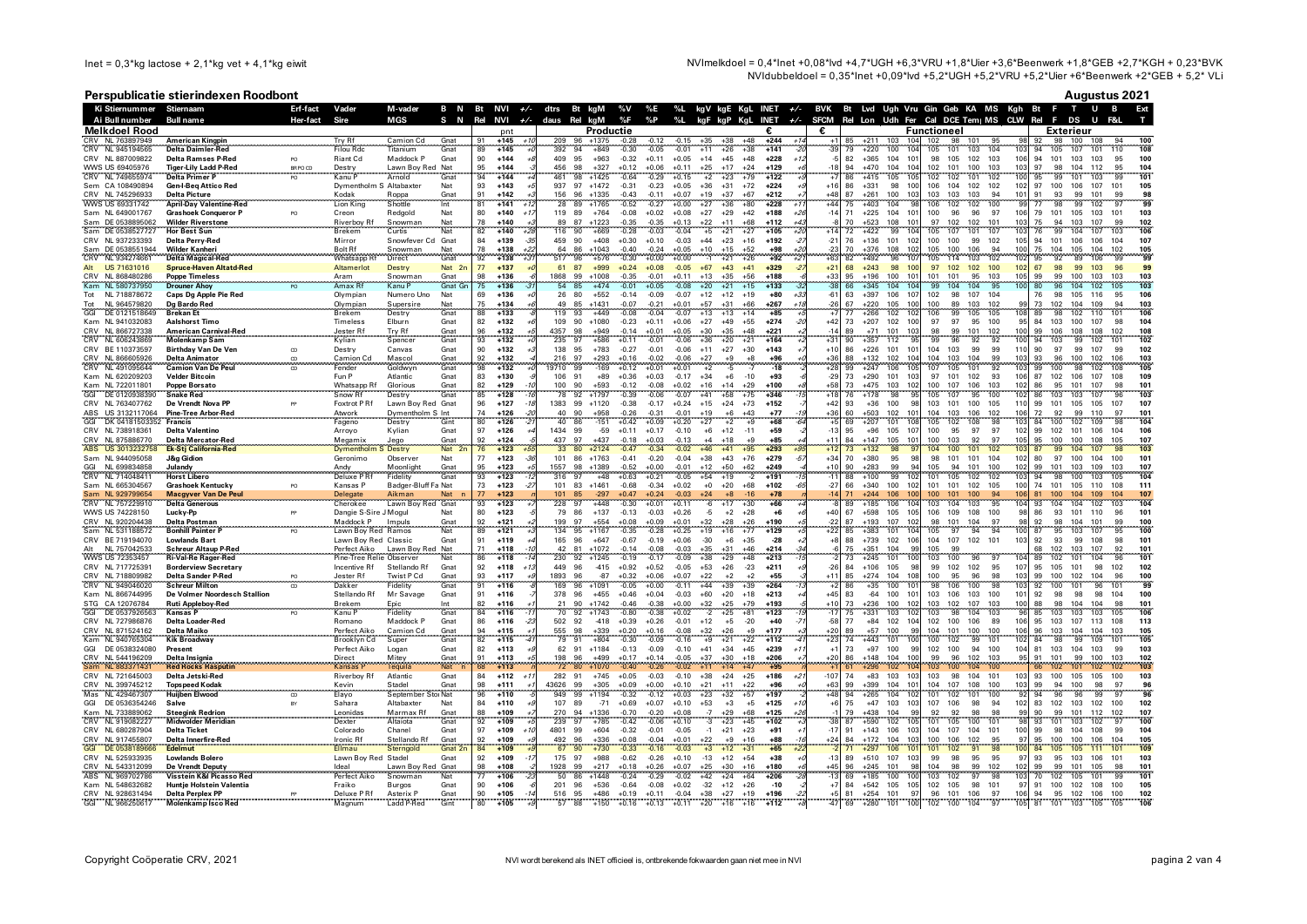NVImelkdoel = 0,4\*Inet +0,08\*lvd +4,7\*UGH +6,3\*VRU +1,8\*Uier +3,6\*Beenwerk +1,8\*GEB +2,7\*KGH + 0,23\*BVK NVIdubbeldoel =  $0.35$ \*Inet +0.09\*Ivd +5.2\*UGH +5.2\*VRU +5.2\*Uler +6\*Beenwerk +2\*GEB + 5.2\* VLi

## Perspublicatie stierindexen Roodbont

| Augustus 2021 |
|---------------|
|---------------|

|            | Ki Stiernummer Stiernaam                 |                                                           | Erf-fact       | Vader                                    | M-vader                      | B N          |                 | Bt NVI +/- dtrs Bt kgM               |                    |              |                      |                    |                    |                    |                |                                      |                  |             |                 |          |                                |                        |                           |                          |            |                        | %V %E %L kgV kgE KgL INET +/- BVK Bt Lvd Ugh Vru Gin Geb KA MS Kgh Bt F T U B      |                          |
|------------|------------------------------------------|-----------------------------------------------------------|----------------|------------------------------------------|------------------------------|--------------|-----------------|--------------------------------------|--------------------|--------------|----------------------|--------------------|--------------------|--------------------|----------------|--------------------------------------|------------------|-------------|-----------------|----------|--------------------------------|------------------------|---------------------------|--------------------------|------------|------------------------|------------------------------------------------------------------------------------|--------------------------|
|            | Ai Bull number                           | <b>Bull name</b>                                          | Her-fact       | Sire                                     | MGS                          | s.<br>N      | Rel             | <b>NVI</b>                           | $+/-$ daus Rel kgM |              |                      | %F                 | %P                 | %L                 |                |                                      |                  |             |                 |          |                                |                        |                           |                          |            |                        | kgF kgP KgL INET +/- SFCM Rel Lon Udh Fer Cal DCE Tem  MS CLW Rel F DS<br><b>U</b> |                          |
|            | <b>Melkdoel Rood</b><br>CRV NL 763897949 | American Kingpin                                          |                | Try Rf                                   | Camion Cd                    | Gnat         | 91              | pnt<br>$+145$<br>$+11$               | 209                | 96.          | Productie<br>$+1375$ | $-0.28$            | $-0.12$            | $-0.15$            | $+35$          | $+38$<br>$+48$                       | $+244$           | $+1$        | €<br>$+1$       | 85       | $+211$<br>103                  | 104                    | <b>Functioneel</b><br>102 | 98<br>101                | 95         | 92                     | Exterieur<br>98 100 108                                                            | 94<br>100                |
|            | CRV NL 945194565                         | <b>Delta Daimler-Red</b>                                  |                | <b>Filou Rdc</b>                         | Titanium                     | Gnat         | 89              | $+145$                               | 392                | 94           | $+849$               | $-0.30$            | $-0.05$            | $-0.01$            | $+11$          | $+26$<br>$+38$                       | $+141$           |             | -39             | 79       | 100<br>+220                    | 10                     | 105                       | 103<br>101               | 104        | 103<br>94              | 101<br>107<br>105                                                                  | 108<br>110               |
|            | CRV NL 887009822                         | <b>Delta Ramses P-Red</b>                                 | PO.            | Riant Cd                                 | Maddock P                    | Gnat         | 90              | $+144$                               | 409                | 95           | $+963$               | $-0.32$            | $+0.11$            | $+0.05$            | $+14$          | $+45$<br>$+48$                       | $+228$           |             |                 | 82       | $+365$<br>104                  | 10 <sup>1</sup>        | 98                        | 105<br>102               | 103        | 106<br>94              | 101<br>103<br>103                                                                  | 95<br>100                |
| <b>CRV</b> | WWS US 69405976<br>NL 749655974          | <b>Tiger-Lily Ladd P-Red</b><br><b>Delta Primer P</b>     | BR PO CD<br>PO | Destry<br>Kanu F                         | Lawn Boy Red Nat<br>Arnold   | Gna          | 95<br>94        | $+144$<br>$+144$                     | 456<br>461         | 98<br>98     | $+327$<br>$+1425$    | $+0.12$<br>$-0.64$ | $+0.06$<br>$-0.29$ | $+0.11$<br>$+0.15$ | $+25$<br>$+2$  | $+17$<br>$+24$<br>$+23$<br>$+79$     | $+129$<br>$+122$ |             | $-18$           | 94       | $+470$<br>104<br>$+415$<br>105 | 10 <sub>4</sub><br>105 | 102<br>101<br>102         | 100<br>102<br>101        | 103<br>102 | 103<br>97<br>100<br>95 | 98<br>104<br>112<br>99<br>101<br>103                                               | 95<br>104<br>101         |
|            | Sem CA 108490894                         | <b>Gen-I-Bea Attico Red</b>                               |                | Dymentholm S Altabaxter                  |                              | Nat          | 93              | $+143$                               | 937                | 97           | $+1472$              | $-0.31$            | $-0.23$            | $+0.05$            | $+36$          | $+31$<br>$+72$                       | $+224$           |             | $+16$           | 86       | $+331$<br>98                   | 100                    | 106                       | 104<br>102               | 102        | 102<br>97              | 107<br>100<br>106                                                                  | 101<br>105               |
|            | CRV NL 745296933                         | <b>Delta Picture</b>                                      |                | Kodak                                    | Roppa<br>Shottle             | Gnat         | 91              | $+142$                               | 156                | 96           | $+1335$              | $-0.43$            | $-0.11$            | $+0.07$            | $+19$          | $+37$<br>$+67$                       | $+212$           |             | $+45$           | 87       | $+261$<br>100                  | 103                    | 103                       | 103<br>103               | 94         | 101<br>91              | 93<br>99<br>101                                                                    | 99<br>98<br>99           |
|            | WWS US 69331742                          | <b>April-Day Valentine-Red</b>                            |                | <b>Lion King</b>                         |                              | Int          | 81<br>80        | $+141$<br>$+1$                       |                    | 89           | $+1765$              | $-0.52$            | $-0.27$            | $+0.00$            | $+27$          | $+36$<br>$+80$                       | $+228$           | $+2$        | $+44$<br>$-14$  | 75<br>71 | $+403$<br>104<br>$+225$        |                        | 106                       | 102<br>102               | 100<br>97  |                        | 98<br>99<br>102                                                                    | 101                      |
|            | Sam NL 649001767<br>Sam DE 0538895062    | <b>Grashoek Conqueror P</b><br><b>Wilder Riverstone</b>   | PO             | Creon<br>Riverboy R                      | Redgold<br>Snowman           | Nat          | 78              | $+140$<br>+140                       | 89                 | 119 89<br>87 | $+764$<br>$+1223$    | $-0.08$<br>$-0.35$ | $+0.02$<br>$-0.35$ | $+0.08$<br>$+0.13$ | $+27$<br>$+22$ | $+29$<br>$+42$<br>$+11$<br>$+68$     | $+188$<br>$+112$ |             |                 | 70       | 104<br>$+523$<br>108           | 101<br>10 <sup>1</sup> | 100<br>97                 | 96<br>96<br>102<br>102   | 101        | 106<br>79<br>103<br>75 | 101<br>105<br>103<br>103<br>107                                                    | 103<br>102               |
|            | Sam DE 0538527727                        | <b>Hor Best Sun</b>                                       |                | <b>Brekem</b>                            | Curtis                       | Nat<br>Nat   | 82              | $+140$<br>$+2i$                      | 116                | 90           | +669                 | $-0.28$            | $-0.03$            | $-0.04$            | $+5$           | $+21$<br>$+27$                       | $+105$           |             |                 | 72       | $+422$<br>99                   | 104                    | 105                       | 107<br>101               | 107        | 103<br>76              | $\frac{94}{99}$<br>104<br>107                                                      | 103<br>106               |
|            | CRV NL 937233393                         | Delta Perry-Red                                           |                | Mirror                                   | Snowfever Cd                 | Gnat         | 84              | $+139$<br>$-35$                      | 459<br>64          | 90           | $+408$               | $+0.30$            | $+0.10$            | $-0.03$            | $+44$          | $+23$<br>$+16$                       | $+192$           | $-2$        | $-21$           | 76       | $+136$<br>101                  | 102                    | 100                       | 100<br>99                | 102        | 105<br>94              | 101<br>106<br>106                                                                  | 107<br>104               |
|            | Sam DE 0538551944<br>CRV NL 934274661    | <b>Wilder Kanheri</b><br><b>Delta Magical-Red</b>         |                | <b>Bolt Rf</b><br>Whatsapp Rf            | Snowman<br>Direct            | Nat<br>Gnat  | 78<br>92        | $+22$<br>$+138$<br>$+138$<br>$^{+3}$ | 517                | 86<br>96     | $+1043$<br>$+576$    | $-0.40$<br>$-0.30$ | $-0.24$<br>$+0.00$ | $+0.05$<br>$+0.00$ | $+10$<br>$-1$  | $+52$<br>$+15$<br>$+21$<br>$+26$     | $+98$<br>$+92$   | $+2i$<br>42 | $-25$<br>$+63$  | 70<br>82 | $+376$<br>108<br>96<br>$+492$  | 102<br>107             | 105<br>105                | 100<br>106<br>103<br>114 | 94<br>102  | 100<br>75<br>102<br>95 | 104<br>105<br>104<br>92<br>89<br>106                                               | 102<br>105<br>99<br>qc   |
|            | Alt US 71631016                          | <b>Spruce-Haven Altatd-Red</b>                            |                | Altamerlot                               | Destry                       | Nat 2n       | 77              | $+137$                               | 61                 | 87           | $+999$               | $+0.24$            | $+0.08$            | $-0.05$            | $+67$          | $+43$<br>$+41$                       | $+329$           |             | $+21$           | 68       | $+243$<br>98                   | 100                    | 97                        | 102 102                  | 100        | 102<br>67              | 98<br>99<br>103                                                                    | 96<br>99                 |
|            | CRV NL 868480286                         | Poppe Timeless<br>Drouner Ahoy<br>                        |                | Aram<br>Amax Rf                          | Snowman<br>Kanu P            | Gnat<br>Gnat | $\frac{98}{75}$ | $+136$                               | 1868               | 99           | $+1008$              | $-0.35$<br>$-0.01$ | $-0.01$            | +0.11              | $+13$          | $+56$<br>$+35$<br>$+21$              | $+188$           |             | $+33$           | 95       | $+196$<br>100                  | 101                    | 101                       | 101<br>95                | 103        | 105<br>$\frac{99}{80}$ | 99<br>100<br>103                                                                   | 103<br>103               |
| Kam        | NL 580737950                             |                                                           |                |                                          |                              |              |                 | $+136$                               | 54<br>26           |              | $+474$<br>$+552$     |                    | $+0.05$            | $-0.08$            | $+20$          | $+19$                                | $+133$<br>$+80$  |             |                 |          | $+345$<br>104<br>$+397$<br>106 | 104<br>107             | 99<br>102                 | 104<br>107               | 95<br>104  | 100<br>76              | 96<br>104<br>102<br>105<br>116                                                     | 106<br>95                |
| Tot<br>Tot | NL 718878672<br>NL 964579820             | Caps Dg Apple Pie Red<br>Dg Bardo Red                     |                | Olympian<br>Olympian                     | Numero Uno<br>Supersire      | Nat<br>Nat   | 69<br>75        | $+136$<br>$+134$                     | 49                 | 80<br>85     | $+1431$              | $-0.14$<br>$-0.07$ | $-0.09$<br>$-0.21$ | $-0.07$<br>$+0.01$ | $+12$<br>$+57$ | $+12$<br>$+31$<br>$+66$              | $+267$           |             | $-61$<br>$-26$  | 63<br>67 | $+220$<br>105                  | 100                    | 100                       | 98<br>89<br>103          | 102        | 73                     | 98<br>102 104 109                                                                  | 103<br>94                |
| GGI        | DE 0121518649                            | <b>Brekan Et</b>                                          |                | Brekem                                   | Destry                       | Gnat         | 88              | $+133$                               | 119                | 93           | $+449$               | $-0.08$            | $-0.04$            | $-0.07$            | $+13$          | $+13$<br>$+14$                       | $+85$            |             |                 | 77       | $+266$<br>102                  | 102                    | 106                       | 99<br>105                | 105        | 108<br>89              | 98<br>102<br>110                                                                   | 106<br>101               |
|            | Kam NL 941032083                         | <b>Aalshorst Timo</b>                                     |                | Timeless                                 | Elburn                       | Gnat         | 82              | $+132$                               | 109                | 90           | $+1080$              | $-0.23$            | $+0.11$            | $+0.06$            | $+27$          | $+49$<br>$+55$                       | $+274$           |             | $+42$           | 73       | $+207$<br>102                  | 100                    | 97                        | 97<br>95                 | 100        | 95                     | 84 103<br>100<br>107                                                               | 104<br>98                |
| <b>CRV</b> | CRV NL 866727338<br>NL 606243869         | <b>American Carnival-Red</b><br><b>Molenkamp Sam</b>      |                | Jester Rf<br>Kylian                      | Try Rf<br>Spencer            | Gnat<br>Gnat | 96<br>93        | $+132$<br>$+132$                     | 4357<br>235        | 98<br>97     | $+949$<br>$+586$     | $-0.14$<br>$+0.11$ | $+0.01$<br>$-0.01$ | $+0.05$<br>$-0.06$ | $+30$<br>$+36$ | $+35$<br>$+48$<br>$+20$<br>$+21$     | $+221$<br>$+164$ |             |                 | 89<br>90 | $+71$<br>101<br>$+357$<br>112  | 103                    | 98<br>99                  | 99<br>101<br>96<br>92    | 102<br>92  | 100<br>99<br>100<br>94 | 108<br>106<br>108<br>99<br>103<br>102                                              | 102<br>108<br>102<br>101 |
|            | CRV BE 110373597                         | <b>Birthday Van De Ven</b>                                | $_{\rm CD}$    | Destry                                   | Canvas                       | Gnat         | 90              | $+132$                               | 138                | 95           | $+783$               | $-0.27$            | $-0.01$            | $-0.06$            | $+11$          | $+27$<br>$+30$                       | $+143$           |             | $+10$           | 86       | $+226$<br>101                  | 101                    | 104<br>103                | 99                       | 99         | 110<br>90              | 97<br>99<br>107                                                                    | 102<br>99                |
|            | CRV NL 866605926                         | <b>Delta Animator</b>                                     | CD             | Camion Cd                                | Mascol                       | Gnat         | 92              | $+132$                               | 216                | 97           | $+293$               | $+0.16$            | $-0.02$            | $-0.06$            | $+27$          | $+9$<br>$+8$                         | $+96$            |             | $+36$           | 88       | $+132$<br>102                  | 10 <sub>4</sub>        | 104<br>103                | 104                      | 99         | 103<br>93              | 96<br>100<br>102                                                                   | 106<br>103               |
|            | CRV NL 491095644                         | <b>Camion Van De Peu</b>                                  | $\infty$       | Fender                                   | Goldwyn                      | Gnat         | 98              | $+132$                               | 9710               | 99           | $-169$               | $+0.12$            | $+0.01$            | $+0.01$            | $+2$           | $-5$<br>$-7$                         | $-18$            |             | $+28$           | 99       | $+247$<br>106                  | 105                    | 107                       | 105<br>101               | 92         | 103<br>99              | 100<br>98<br>102                                                                   | 105<br>108               |
|            | Kam NL 620209203<br>Kam NL 722011801     | <b>Velder Bitcoin</b><br>Poppe Borsato                    |                | Fun P                                    | Atlantic<br>Glorious         | Gnat<br>Gnat | 83<br>82        | $+130$<br>$+129$                     | 106<br>100         | 91<br>90     | $+89$<br>+593        | $+0.36$<br>$-0.12$ | $+0.03$<br>$-0.08$ | $-0.17$<br>$+0.02$ | $+34$<br>$+16$ | $+6$<br>$-10$<br>$+14$<br>$+29$      | $+93$<br>$+100$  |             | $-29$           | 73<br>73 | $+290$<br>101<br>$+475$<br>103 | 103<br>102             | 97<br>101<br>100<br>107   | 102<br>106               | 93<br>103  | 106<br>87<br>102<br>86 | 102<br>106<br>107<br>95<br>101<br>107                                              | 108<br>109<br>98<br>101  |
|            | DE 0120938390                            | <b>Snake Red</b>                                          |                | Whatsapp Rf<br>Snow Rf                   | Destry                       | Gna          | 85              | $+128$                               | 78                 | 92           | $+1797$              | $-0.39$            | $-0.06$            | $-0.07$            |                | $+58$<br>$+75$                       | $+346$           |             |                 |          | $+178$<br>98                   |                        | 105                       | 95                       | 100        | 102<br>86              | 103<br>103<br>107                                                                  | 103                      |
|            | CRV NL 763407762                         | De Vrendt Nova PP                                         |                | Foxtrot P Rf                             | Lawn Boy Red Gnat            |              | 96              | $+127$                               | 1383               | 99           | $+1120$              | $-0.38$            | $-0.17$            | $+0.24$            | $+15$          | $+24$<br>$+73$                       | $+152$           |             | $+42$           | 93       | $+36$<br>100                   | <b>qs</b>              | 103<br>101                | 100                      | 105        | 110<br>99              | 101<br>105<br>105                                                                  | 107<br>107               |
|            | ABS US 3132117064                        | <b>Pine-Tree Arbor-Red</b>                                |                | Atwork                                   | Dymentholm S Int             |              | 74              | $+126$                               | 40                 | 90           | $+958$               | $-0.26$            | $-0.31$            | $-0.01$            | $+19$          | $+6$<br>$+43$                        | $+77$            |             | $+36$           | 60       | $+503$<br>102                  | 101                    | 104                       | 103<br>106               | 102        | 106<br>72              | 92<br>99<br>110                                                                    | 101<br>97                |
| GGI        | DK 04181503352<br>CRV NL 738918361       | Francis<br><b>Delta Valentino</b>                         |                | Fageno<br>Arrovo                         | Destry<br>Kylian             | Gint<br>Gnat | 80<br>97        | $+126$<br>$+126$                     | 40<br>1434         | 86<br>99     | $-151$<br>-59        | $+0.42$<br>$+0.11$ | $+0.09$<br>$+0.17$ | $+0.20$<br>$-0.10$ | $+27$<br>$+6$  | $+2$<br>$+9$<br>$+12$<br>$-11$       | $+68$<br>$+59$   |             | $-13$           | 69<br>95 | $+207$<br>101<br>$+96$<br>105  | 108<br>107             | 105<br>100                | 102<br>108<br>95<br>97   | 98<br>97   | 103<br>84<br>102<br>99 | 100<br>109<br>102<br>102<br>101<br>106                                             | 104<br>106<br>104        |
|            | CRV NL 875886770                         | <b>Delta Mercator-Red</b>                                 |                | Megamix                                  | Jego                         | Gnat         | 92              | $+124$                               | 437                | 97           | $+437$               | $-0.18$            | $+0.03$            | $-0.13$            | $+4$           | $+18$<br>$+9$                        | $+85$            |             | $+11$           | 84       | $+147$<br>105                  | 101                    | 100                       | 103<br>92                | 97         | 105<br>95              | 100<br>100<br>108                                                                  | 107<br>105               |
|            | ABS US 301323275                         | <b>Ek-Stj California-Red</b>                              |                | Dymentholm S Destry                      |                              | Nat          |                 | $+123$                               | 33                 | 80           | $+2124$              | $-0.47$            | $-0.34$            | $-0.02$            | $+46$          | $+41$<br>$+95$                       | $+293$           |             |                 |          | $+132$                         |                        | 104                       | 100<br>101               |            |                        | 99<br>104                                                                          | 103                      |
| GGI        | Sam NL 944095058<br>NL 699834858         | <b>J&amp;g Gidion</b>                                     |                | Geronimo                                 | Observer                     | Nat<br>Gnat  | 77<br>95        | $+123$<br>$-3$<br>$+123$             | 101<br>1557        | 86<br>98     | $+1763$              | $-0.41$            | $-0.20$<br>$+0.00$ | $-0.04$<br>$-0.01$ | $+38$<br>$+12$ | $+43$<br>$+76$<br>$+50$              | $+279$<br>$+249$ |             | $+34$<br>$+10$  | 70<br>90 | $+380$<br>95<br>$+283$<br>99   | -98<br>Q               | 98<br>101<br>105          | 101<br>94<br>101         | 104<br>100 | 102<br>80<br>102       | 97<br>100<br>104<br>101<br>103<br>109                                              | 101<br>100<br>107<br>103 |
|            | CRV NL 714048411                         | Julandy<br><b>Horst Libero</b>                            |                | Andy<br>Deluxe P Rf                      | Moonlight<br>Fidelity        | Gnat         | 93              | $+123$                               | 316                | 97           | $+1389$<br>$+48$     | $-0.52$<br>$+0.63$ | $+0.21$            | $-0.05$            | $+54$          | $+62$<br>$+19$                       | $+191$<br>-2     |             | $-11$           | 88       | 99<br>$+100$                   | 102                    | 101                       | 105<br>102               | 102        | 99<br>94<br>103        | 98<br>100<br>103                                                                   | 104<br>105               |
|            | Sam NL 665304567                         | <b>Grashoek Kentucky</b>                                  | PO.            | Kansas P                                 | Badger-Bluff Fa Nat          |              | 73              | $+123$<br>$\cdot$                    | 101                | 83           | $+1461$              | $-0.68$            | $-0.34$            | $+0.02$            | $+0$           | $+20$<br>$+68$                       | $+102$           |             | $-27$           | 66       | $+340$<br>100                  | 102                    | 101 101 102               |                          | 105        | 100                    | 74 101 105<br>110                                                                  | 111<br>108               |
|            | Sam NL 929799654                         | Macgyver Van De Peul                                      |                | Delegate<br>Cherokee                     | Aikman                       | Nat          | 77              | $+123$                               |                    | 85           | $-297$               | $+0.47$            | $+0.24$            | $-0.03$            | $+24$          | $+8$                                 | $+78$            |             |                 | 71       | $+244$<br>106                  | 100                    | 100                       | 100                      | 94         | 106<br>81              | 100<br>104<br>109                                                                  |                          |
|            | NL 757229910                             | <b>Delta Generous</b>                                     |                |                                          | Lawn Boy Red Gnat            | Nat          | 93<br>80        | $+123$<br>$+123$                     | 79                 | 86           | $+448$<br>$+137$     | $-0.30$            | $+0.01$            | $+0.11$<br>$+0.26$ | $-5$           | $+2$<br>$+28$                        | $+66$<br>$+6$    |             | $+40$           | 67       | $+185$<br>106<br>$+598$<br>105 | 104                    | 109                       | 103<br>108               | 95<br>100  | 104<br>93<br>98        | 104<br>93<br>101<br>110                                                            | 101<br>96                |
|            | WWS US 74228150<br>CRV NL 920204438      | Lucky-Pp<br>Delta Postman                                 | PP             | Dangie S-Sire J Mogul<br>Maddock P       | Impuls                       | Gnat         | 92              | $+121$                               | 199                | 97           | $+554$               | $-0.13$<br>$+0.08$ | $-0.03$<br>$+0.09$ | $+0.01$            | $+32$          | $+28$<br>$+26$                       | $+190$           |             | $-22$           | 87       | $+193$<br>107                  | 105<br>102             | 106<br>98<br>101          | 104                      | 97         | 86<br>95<br>92         | 98<br>101<br>104                                                                   | 99<br>100                |
|            | Sam NL 531188572                         | <b>Bonhill Painter P</b>                                  | PO.            | Lawn Boy Red Ramos                       |                              | <b>Nat</b>   | 89              | $+121$                               | 134                | 95           | $+1167$              | $-0.35$            | $-0.28$            | $+0.25$            | $+19$          | $+16$<br>$+77$                       | $+129$           |             | $+22$           | 85       | $+383$<br>101                  | 104                    | 105                       | 97<br>94                 | 94         | 100<br>87              | 95<br>103<br>107                                                                   | 95<br>100                |
|            | CRV BE 719194070                         | <b>Lowlands Bart</b>                                      |                | Lawn Boy Red Classic                     |                              | Gnat         | 91              | $+119$                               |                    | 165 96       | $+647$               | $-0.67$            | $-0.19$            | $+0.06$            | $-30$          | $+6$<br>$+35$                        | $-28$            |             | $+8$            | 88       | $+739$<br>102                  | 106                    | 104                       | 107                      | 102 101    | 103<br>92              | 93<br>99<br>108                                                                    | 98<br>101                |
|            | NL 757042533<br>WWS US 72353457          | <b>Schreur Altaup P-Red</b><br><b>Ri-Val-Re Rager-Red</b> |                | Perfect Aiko<br>Pine-Tree Relie Observer | Lawn Boy Red Nat             | Nat          | 71<br>86        | $+118$<br>$+118$                     | 42<br>230          | 81<br>92     | $+1072$<br>$+1245$   | $-0.14$<br>$-0.19$ | $-0.08$<br>$-0.17$ | $-0.03$<br>$-0.09$ | $+35$          | $+31$<br>$+46$<br>$+29$<br>$+48$     | $+214$<br>$+213$ |             |                 | 75       | $+351$<br>104<br>$+245$<br>101 | -99<br>100             | 105<br>103                | 99<br>100<br>96          |            | 68<br>89<br>104        | 102<br>103<br>107<br>102<br>101<br>104                                             | 92<br>101<br>101         |
|            | CRV NL 717725391                         | <b>Borderview Secretary</b>                               |                | Incentive Rf                             | Stellando Rf                 | Gnat         | 92              | $+118$                               | 449                | 96           | $-415$               | $+0.92$            | $+0.52$            | $-0.05$            | $+53$          | $+26$<br>$-23$                       | $+211$           |             | $-26$           | 84       | $+106$<br>105                  | 98                     | 99<br>102                 | 102                      | 95         | 95<br>107              | 105<br>101<br>98                                                                   | 102<br>102               |
|            | CRV NL 718809982                         | <b>Delta Sander P-Red</b>                                 |                | Jester Rf                                | Twist P Cd                   | Gnat         | 93              | $+117$                               | 1893               | 96           | $-87$                | $+0.32$            | $+0.06$            | $+0.07$            | $+22$          | $+2$<br>$+2$                         | $+55$            |             | $+11$           | 85       | $+274$<br>104                  | 108                    | 100                       | 95<br>96                 | 98         | 103<br>99              | 100<br>102<br>104                                                                  | 96<br>100                |
|            | CRV NL 949046020                         | <b>Schreur Milton</b>                                     |                | Dakker                                   | Fidelity                     | Gnat         | 91              | $+116$                               | 169                |              | +1091                | $-0.05$            | $+0.00$            | $-0.11$            | $+44$          | $+39$<br>$+39$                       | $+264$           |             |                 | 86       | $+35$<br>100                   | 10 <sup>1</sup>        | 98                        | 100<br>106               |            | 103<br>92              | 100<br>96<br>101                                                                   | 101<br>99                |
| STG        | Kam NL 866744995<br>CA 12076784          | De Volmer Noordesch Stallion<br><b>Ruti Appleboy-Red</b>  |                | Stellando Rf<br><b>Brekem</b>            | Mr Savage<br>Epic            | Gnat         | 91<br>82        | $+116$<br>$+116$                     | 378<br>21          | 96<br>90     | $+455$<br>$+1742$    | $+0.46$<br>$-0.46$ | $+0.04$<br>$-0.38$ | $-0.03$<br>$0.0 +$ | $+60$<br>$+32$ | $+20$<br>$+18$<br>$+25$<br>$+79$     | $+213$<br>$+193$ |             | $+45$<br>$+10$  | 83<br>73 | $-64$<br>100<br>-236<br>100    | 10 <sup>1</sup><br>102 | 103<br>103                | 106<br>103<br>102<br>107 | 100<br>103 | 101<br>92<br>100<br>88 | 98<br>98<br>98<br>98<br>104<br>104                                                 | 104<br>100<br>98<br>101  |
| GGI        | DE 0537926563                            | <b>Kansas</b> P                                           | PO             | Kanu P                                   | Fidelity                     | Gnat         | 84              | $+116$                               |                    | 92           | $+1743$              | $-0.80$            | $-0.38$            | $+0.02$            |                | $+81$<br>$+25$                       | $+123$           |             |                 |          | $+331$<br>103                  | 10                     | 103                       | 104<br>98                | 103        | 85                     | 103<br>103<br>103                                                                  | 106                      |
|            | CRV NL 727986876                         | <b>Delta Loader-Red</b>                                   |                | Romano                                   | Maddock P                    | Gnat         | 86              | $+116$<br>-2                         | 502                | 92           | $-418$               | $+0.39$            | $+0.26$            | $-0.01$            | $+12$          | $+5$<br>$-20$                        | $+40$            |             | -58             | 77       | $+84$<br>102                   | 104                    | 102                       | 106<br>100               | 89         | 106<br>95              | 103<br>107<br>113                                                                  | 113<br>108               |
|            | CRV NL 871524162<br>Kam NL 940765304     | Delta Maiko<br><b>Kik Broadway</b>                        |                | Perfect Aiko                             | Camion Cd                    | Gnat<br>Gnat | 94<br>82        | $+115$<br>$+115$                     | 555                | 98<br>91     | $+339$<br>$+804$     | $+0.20$            | $+0.16$            | $-0.08$<br>$-0.16$ | $+32$          | $+26$<br>$+9$                        | $+177$<br>$+112$ |             | $+20$           | 89       | $+57$<br>100<br>$+443$<br>101  | <b>go</b>              | 104<br>101<br>100         | 100<br>99                | 100<br>101 | 106<br>102<br>96<br>84 | 103<br>104<br>104<br>$\overline{98}$                                               | 103<br>105<br>101<br>105 |
|            | GGI DE 0538324080                        | Present                                                   |                | Brooklyn Cd<br>Perfect Aiko              | Super<br>Logan               | Gnat         | 82              | $+113$                               |                    | 62 91        | $+1184$              | $-0.30$<br>$-0.13$ | $-0.09$<br>$-0.09$ | $-0.10$            | +9<br>$+41$    | $+21$<br>$+22$<br>$+34$<br>$+45$     | $+239$           |             | $+23$<br>$+1$   | 73       | $+97$<br>100                   | 99                     | 102                       | 102<br>100<br>94         | 100        | 104<br>81              | 99<br>109<br>103<br>104<br>103                                                     | 99<br>103                |
|            | CRV NL 544196209                         | Delta Insignia                                            |                | Direct                                   | Mitey                        | Gnat         | 91              | $+113$                               | 198                | 96           | $+499$               | $+0.17$            | $+0.14$            | $-0.05$            | $+37$          | $+30$<br>$+18$                       | $+206$           |             | $+20$           | 86       | $+148$<br>104                  | 100                    | 99                        | 96<br>102                | 103        | 95<br>91               | 101<br>99<br>100                                                                   | 103<br>102               |
|            | Sam NL 883371431                         | <b>Red Rocks Rasputin</b>                                 |                | <b>Kansas</b> F                          | Tequila                      | Nat          | 68              | $+113$                               | 72                 | 80           | $+1070$              | $-0.40$            | $-0.26$            | $-0.02$            | $+11$          | $+14$<br>$+47$                       | $+95$            |             |                 |          | $+296$<br>102                  | 10 <sup>2</sup>        | 103                       | 100<br>104               |            | 66                     | 102<br>101<br>102                                                                  | 103                      |
|            | CRV NL 721645003<br>CRV NL 399745212     | Delta Jetski-Red<br><b>Topspeed Kodak</b>                 |                | <b>Riverboy Rf</b><br>Kevin              | Atlantic<br>Stadel           | Gnat<br>Gnat | 84<br>98        | $+112$<br>$+1$<br>$+111$             | 43626              | 282 91<br>99 | $+745$<br>$+305$     | $+0.05$<br>$+0.09$ | $-0.03$<br>$+0.00$ | $-0.10$<br>$+0.10$ | $+38$<br>$+21$ | $+24$<br>$+25$<br>$+11$<br>$+22$     | $+186$<br>$+96$  | ÷ź          | $-107$<br>$+63$ | 74<br>99 | $+83$<br>103<br>$+399$<br>104  | 103<br>101             | 103<br>104                | 98<br>104<br>107<br>108  | 101<br>100 | 103<br>93<br>103<br>99 | 100<br>105<br>105<br>94<br>100<br>98                                               | 103<br>100<br>96<br>97   |
|            | Mas NL 429467307                         | <b>Huijben Elwood</b>                                     | $\infty$       | Elayo                                    | September StorNat            |              | 96              | $+110$                               | 949                | 99           | $+1194$              | $-0.32$            | $-0.12$            | $+0.03$            | $+23$          | $+32$<br>$+57$                       | $+197$           |             | $+48$           | 94       | $+265$<br>104                  | 102                    | 101                       | 101<br>102               | 100        | 92<br>94               | 96<br>96<br>99                                                                     | 96<br>-97                |
|            | GGI DE 0536354246                        | Salve                                                     | RY             | Sahara                                   | Altabaxter                   | Nat          | 84              | $+110$                               | 107                | 89           | $-71$                | $+0.69$            | $+0.07$            | $+0.10$            | $+53$          | $+3$<br>$+5$                         | $+125$           |             | $+6$            | 75       | $+47$<br>103                   | 103                    | 107                       | 106<br>98                | 94         | 102<br>83              | 102<br>103<br>102                                                                  | 100<br>102               |
|            | Kam NL 733889062                         | <b>Steegink Redrion</b>                                   |                | Leonidas                                 | Marmax Rf                    | Gnat         | 88              | $+109$                               | 270                | 94           | +1336                | $-0.70$            | $-0.20$            | $+0.08$            | $-7$           | $+29$<br>$+68$                       | $+125$           |             |                 | 79       | $+438$<br>104                  | 99                     | 92                        | 92<br>98                 | 98         | 99<br>90               | 101<br>99<br>112                                                                   | 102<br>107               |
| CRV        | NL 919082227<br>CRV NL 680287904         | Midwolder Meridian<br><b>Delta Ticket</b>                 |                | Dexter<br>Colorado                       | Altaiota<br>Chanel           | Gnat<br>Gnat | 92<br>97        | $+109$<br>$+109$                     | 239<br>4801        | 97<br>99     | $+785$<br>$+604$     | $-0.42$<br>$-0.32$ | $-0.06$<br>$-0.01$ | $+0.10$<br>$-0.05$ | $-1$           | $+23$<br>$+45$<br>$+21$<br>$+23$     | $+102$<br>$+91$  |             | $-17$           | 87<br>91 | 102<br>$+590$<br>$+143$<br>106 | 105<br>103             | 101<br>104                | 100<br>105<br>107<br>104 | 101<br>101 | 93<br>100<br>99        | 101<br>103<br>102<br>98<br>104<br>108                                              | 100<br>104<br>99         |
|            | CRV NL 917455807                         | Delta Innerfire-Red                                       |                | Ironic Rf                                | Stellando Rf                 | Gnat         | 92              | $+109$                               | 492                | 96           | $+336$               | $+0.08$            | $-0.04$            | $+0.01$            | $+22$          | $\pm$ 9<br>$+16$                     | $+88$            |             | $+24$           | 84       | $+172$<br>104                  | 10 <sup>5</sup>        | 100                       | 106<br>102               | 95         | 95<br>97               | 100<br>100<br>106                                                                  | 105<br>104               |
| GGI        | DE 053818966                             | Edelmut                                                   |                | Ellmau                                   | Sterngold                    | Gnat 2       | 84              | $+109$                               | 67                 | $90^{\circ}$ | $+730$               | $-0.33$            | $-0.16$            | $-0.03$            | $+3$           | $+12$<br>$+31$                       | $+65$            |             |                 |          | $+297$<br>106                  | 10 <sup>1</sup>        | 101                       | 91<br>102                | 98         | 100<br>84              | 105<br>105                                                                         |                          |
|            | CRV NL 525933935                         | <b>Lowlands Bolero</b>                                    |                | Lawn Boy Red Stadel                      |                              | Gnat         | 92              | $+109$                               |                    | 175 97       | $+988$               | $-0.62$            | $-0.26$            | $+0.10$            | $-13$          | $+12$<br>$+54$                       | $+38$            |             | $-13$           | 89       | $+510$<br>107                  | 103<br>98              | 99                        | 95<br>98                 | 95         | 93<br>97               | 95<br>103<br>106                                                                   | 101<br>103               |
|            | CRV NL 543312099<br>ABS NL 969702786     | De Vrendt Deputy                                          |                | Ideal<br>Perfect Aiko                    | Lawn Boy Red Gnat<br>Snowman | Nat          | 98<br>77        | $+108$<br>$+106$                     | 1928<br>50         | 99           | $+217$<br>$+1448$    | $+0.18$<br>$-0.24$ | $+0.26$<br>$-0.29$ | $+0.07$<br>$-0.02$ | $+25$<br>$+42$ | $+30$<br>$+16$<br>$+24$<br>$+64$     | $+180$<br>$+206$ |             | $+45$           | 96       | $+245$<br>101<br>$+185$<br>100 | 100                    | 104<br>103                | 98<br>99<br>102<br>97    | 102<br>98  | 99<br>102<br>103<br>70 | 99<br>101<br>105<br>102<br>105<br>101                                              | 101<br>101               |
|            | Kam NL 548632682                         | Huntje Holstein Valentia                                  |                | Fraiko                                   | Burgos                       | Gnat         | 90              | $+106$                               | 201                | 96           | $+536$               | $-0.64$            | $-0.08$            | $+0.02$            | $-32$          | $+12$<br>$+26$                       | $-10$            |             | $+7$            | 84       | +542 105                       | 105                    | 102 105                   | 98                       | 101        | 97                     | 91 100 102 108                                                                     | 100<br>105               |
|            | CRV NL 928631494                         | Delta Perplex PP                                          |                | Deluxe PRf                               | Asterix P                    | Gnat         | 90              | $+105$                               | 516                | 95           | $+486$               | $+0.19$            | $+0.11$            | $-0.04 +38$        |                | $+27$<br>$+19$                       | $+196$           |             |                 | 81       | $+254$ 101                     | 97                     |                           | 96 101 106               | 97         | 106<br>94              | 95 102 106                                                                         | 102<br>100               |
|            | GGI NL 966250617                         | <b>Molenkamp Isco Red</b>                                 |                | Magnum                                   | Ladd P-Red                   | Gint         | 80              | $+105$                               | 57                 | 88           | $+150$               |                    |                    |                    |                | $+0.16 + 0.13 + 0.11 + 20 + 16 + 16$ | $+112$           |             | $-47$ 69        |          | +280 101 100 102 100 104       |                        |                           |                          | $-97$      |                        | 105 81 101 103 105                                                                 |                          |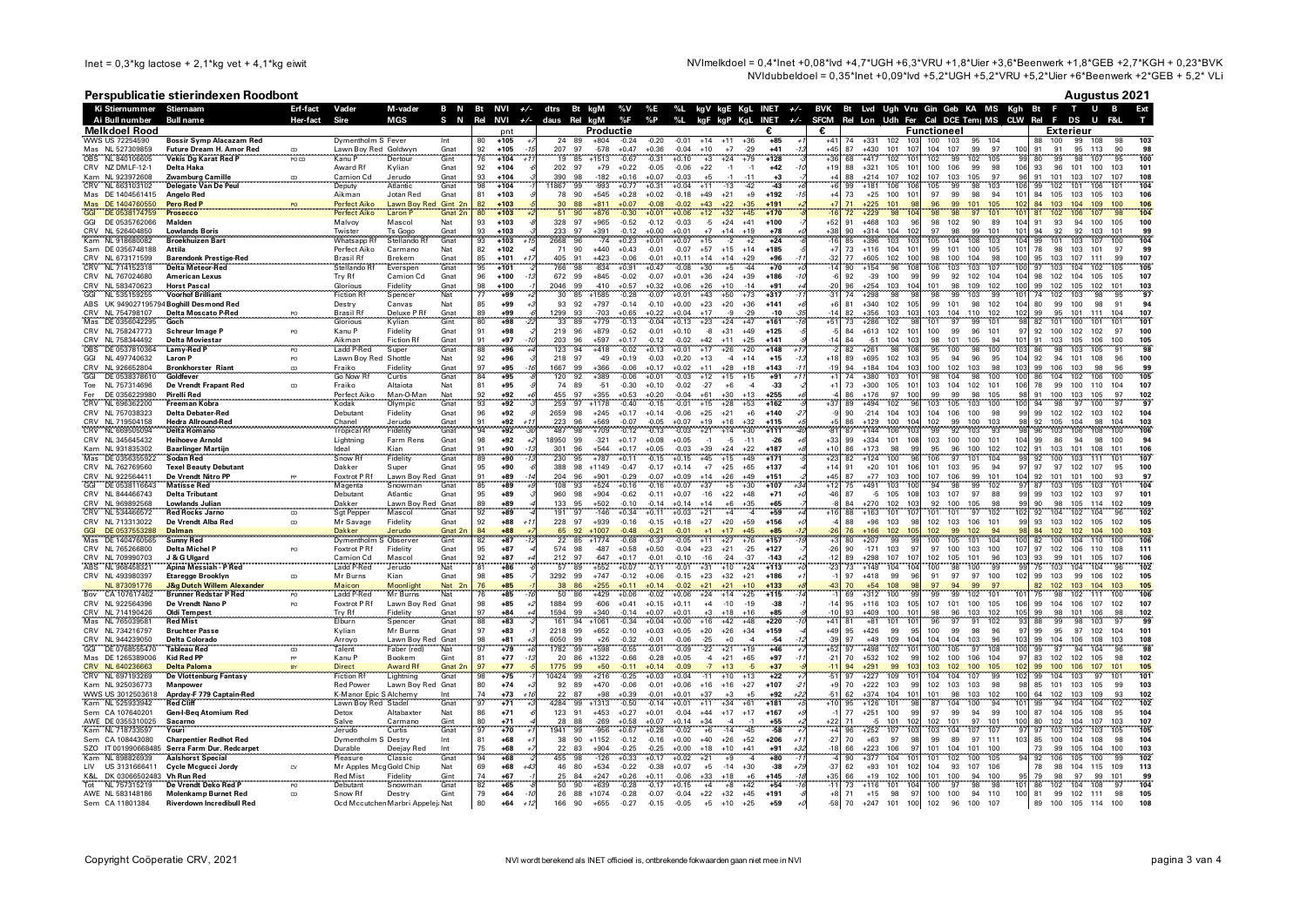NVImelkdoel = 0,4\*lnet +0,08\*lvd +4,7\*UGH +6,3\*VRU +1,8\*Uier +3,6\*Beenwerk +1,8\*GEB +2,7\*KGH + 0,23\*BVK NVIdubbeldoel = 0.35\*lnet +0.09\*lvd +5.2\*UGH +5.2\*VRU +5.2\*Vier +6\*Beenwerk +2\*GEB + 5.2\* VLi

## Perspublicatie stierindexen Roodbont

|                                                      | Perspublicatie stierindexen Roodbont                                      |                            |                                           |                                         |                 |                 |                         |                  |              |                   |                    |                    |                    |                |                                                  |                                                                         |                |                                         |                     |                                      |                    |                          |                    |                 |                                                                                                          | <b>Augustus 2021</b>     |
|------------------------------------------------------|---------------------------------------------------------------------------|----------------------------|-------------------------------------------|-----------------------------------------|-----------------|-----------------|-------------------------|------------------|--------------|-------------------|--------------------|--------------------|--------------------|----------------|--------------------------------------------------|-------------------------------------------------------------------------|----------------|-----------------------------------------|---------------------|--------------------------------------|--------------------|--------------------------|--------------------|-----------------|----------------------------------------------------------------------------------------------------------|--------------------------|
| Ki Stiernummer Stiernaam                             |                                                                           | Erf-fact                   | Vader                                     | M-vader                                 |                 |                 |                         |                  |              |                   |                    |                    |                    |                |                                                  |                                                                         |                |                                         |                     |                                      |                    |                          |                    |                 | B N Bt NVI +/- dtrs Bt kgM %V %E %L kgV kgE KgL INET +/- BVK Bt Lvd Ugh Vru Gin Geb KA MS Kgh Bt F T U B | Ext                      |
| Ai Bull number<br><b>Melkdoel Rood</b>               | Bull name                                                                 | Her-fact                   | Sire                                      | <b>MGS</b>                              | S N             | Rel             | NVI<br>pnt              | +/- daus Rel kgM |              | Productie         | %F                 | %P %L              |                    |                |                                                  | kgF kgP KgL INET +/- SFCM Rel Lon Udh Fer Cal DCE Tem   MS CLW Rel<br>€ | €              |                                         |                     |                                      | <b>Functioneel</b> |                          |                    |                 | - F<br>DS<br><b>U</b><br>Exterieur                                                                       |                          |
| WWS US 72254590                                      | <b>Bossir Symp Alacazam Red</b>                                           |                            | Dymentholm S Fever                        |                                         | Int             | 80              | $+105$                  |                  | 24<br>89     | $+804$            | $-0.24$            | $-0.20$            | $-0.01$            | $+14$          | $+36$<br>$+11$                                   | $+85$                                                                   | $+41$          | 74                                      | $+331$              | 102<br>103                           | 100                | 103                      | 95<br>104          |                 | 100<br>99 108<br>88                                                                                      | 98                       |
| Mas NL 527309859                                     | Future Dream H. Amor Red                                                  | CD                         | Lawn Boy Red Goldwyr                      |                                         | Gnat            | 92              | $+105$                  | 207              | 97           | $-578$            | $+0.47$            | $+0.36$            | $-0.04$            | $+10$          | $+7$<br>$-29$                                    | $+41$                                                                   | $+45$          | 87                                      | $+430$              | 101<br>107                           | 104                | 107<br>99                | 97                 | 100             | 91<br>95 113<br>91                                                                                       |                          |
| NL 840106605<br>OBS <sup>-</sup><br>CRV NZ DMLF-12-1 | <b>Vekis Dg Karat Red P</b><br><b>Delta Haka</b>                          | PO CD                      | Kanu P<br>Award Rf                        | Dertou<br>Kvlian                        | Gint<br>Gnat    | 92              | $+104$<br>$+104$        |                  | 85<br>202 97 | $-1513$<br>$+79$  | $-0.67$<br>$+0.22$ | $-0.31$<br>$-0.05$ | $+0.10$<br>$-0.06$ | $+3$<br>$+22$  | $+24$<br>$-1$<br>$-1$                            | $+128$<br>$+42$                                                         | $+19$          | $+36$<br>68<br>88                       | $+417$<br>$+321$    | ĭί<br>102<br>101<br>105              | 102<br>100         | 102<br>99<br>106<br>99   | 105<br>98          | 106             | 99<br>98<br>-80<br>107<br>93<br>96<br>101<br>100                                                         | 101<br>103               |
| Kam NL 923972608                                     | Zwamburg Camille                                                          | $\cdots$ $\cdots$ $\cdots$ | Camion Cd                                 | Jerudo                                  | Gnat            | 93              | $+104$                  | 390              | 98           | $-182$            | $+0.16$            | $+0.07$            | $-0.03$            | $+5$           | $-1$<br>$-11$                                    | $+3$                                                                    |                | 88                                      | $+214$              | 107<br>102                           | 107                | 103<br>105               | 97                 | 96              | 91<br>101<br>103<br>107                                                                                  | 107<br>108               |
| CRV NL 663103102                                     | <b>Delegate Van De Peul</b>                                               |                            | Deputy                                    | Atlantic                                | Gnat            | 98              | $+104$                  | 1867             | 99           | $-993$            | $+0.77$            | $+0.31$            | $+0.04$            | $+11$          | $-13$<br>$-42$                                   | $-43$                                                                   |                | 99                                      | $+181$              | 106<br>106                           | 105                | 98<br>99                 | 103                | 106             | 102<br>99<br>101<br>106                                                                                  | 104                      |
| Mas DE 1404561415<br>Mas DF 1404760550               | Angelo Red<br>Pero Red P                                                  |                            | Aikman<br>Perfect Aiko                    | Jotan Red                               | Gnat            | 81<br>82        | $+103$<br>$+103$        | 78<br>30         | 90<br>88     | $+545$<br>$+811$  | $+0.28$<br>$+0.07$ | $+0.02$<br>$-0.08$ | $-0.18$<br>$-0.02$ | $+49$<br>$+43$ | $+21$<br>$+9$<br>$+22$<br>$+35$                  | $+192$<br>$+191$                                                        |                | 73<br>71                                | $+25$<br>$+225$     | 100<br>101<br>101<br>$\mathbf{q}$    | 97<br>96           | 99<br>98<br>99<br>101    | 94<br>105          | 101<br>102      | 84<br>105<br>103<br>105<br>84<br>103<br>104<br>109                                                       | 103<br>106<br>106<br>100 |
| DE 0538174759                                        | Prosecco                                                                  |                            | Perfect Aiko                              | Lawn Boy Red Gint 2n<br>Laron P Gnat 2n |                 | 80              | $+103$                  |                  | 90           | $+876$            | $-0.30$            | +0.01              | $+0.06$            | +12            | $+32$<br>$+45$                                   | $+170$                                                                  |                | 72                                      | $+229$              | 10 <sup>2</sup><br>98                | 98                 | 97                       |                    | 101             | 102<br>81<br>106<br>107                                                                                  | 104                      |
| GGI<br>DE 0535762066                                 | Malden                                                                    |                            | Malvoy                                    | Mascol                                  | Nat             | 93              | $+103$                  | 328              | 97           | $+965$            | $-0.52$            | $-0.12$            | $-0.03$            | $-5$           | $+24$<br>$+41$                                   | $+100$                                                                  | $+52$          | 91                                      | $+468$              | 103<br>96                            | 98                 | 102<br>90                | 89                 | 104             | 91<br>93<br>94<br>100                                                                                    | 100<br>105               |
| CRV NL 526404850<br>Kam NL 918680082                 | <b>Lowlands Boris</b><br><b>Broekhuizen Bart</b>                          |                            | Twister<br>Whatsapp Rf                    | Ts Gogo<br>Stellando R                  | Gnat<br>Gnat    | 93<br>93        | $+103$<br>$+103$        | 233<br>2668      | 97<br>96     | $+391$<br>$-74$   | $-0.12$<br>$+0.23$ | $+0.00$<br>$+0.01$ | $+0.01$<br>$+0.07$ | $+7$<br>$+15$  | $+14$<br>$+19$<br>$\cdot$<br>$+2$                | $+78$<br>$+24$                                                          | $+38$          | 90<br>$-16$<br>85                       | $+314$<br>$+396$    | 104<br>102<br>103<br>10 <sub>2</sub> | 97<br>105          | 98<br>99<br>104<br>108   | 101<br>103         | 101<br>104      | 94<br>92<br>92<br>103<br>101<br>99<br>103<br>107                                                         | 101<br>99<br>100<br>104  |
| Sam DE 0356748188                                    | Attila                                                                    |                            | Perfect Aiko                              | Carmano                                 | Nat             | 82              | $+102$                  | 71               | 90           | $+440$            | $+0.43$            | $-0.01$            | $-0.07$            | $+57$          | $+15$<br>$+14$                                   | $+185$                                                                  |                | 73<br>$+7$                              | $+116$              | 101<br>104                           | 99                 | 100<br>101               | 105                | 101             | 78<br>98<br>103<br>101                                                                                   | 99<br>97                 |
| CRV NL 673171599                                     | <b>Barendonk Prestige-Red</b>                                             |                            | <b>Brasil Rf</b>                          | Brekem                                  | Gnat            | 85              | $+101$                  | 405              | 91           | $+423$            | $-0.06$            | $-0.01$            | $+0.11$            | $+14$          | $+14$<br>$+29$                                   | $+96$                                                                   |                | $-32$<br>77                             | $+605$              | 102<br>100                           | 98                 | 100<br>104               | 98                 | 100             | 95<br>103<br>107<br>111                                                                                  | 99<br>107                |
| CRV NL 714152318                                     | <b>Delta Meteor-Red</b><br><b>American Lexus</b>                          |                            | Stellando Rt<br>Try Rf                    | Everspen<br>Camion Cd                   | Gnat<br>Gnat    | 95<br>96        | $+101$<br>$+100$        | 766<br>672       | 98<br>99     | $-834$<br>$+845$  | $+0.91$            | $+0.47$            | $-0.08$<br>$+0.01$ | $+30$<br>$+36$ | $+5$<br>44<br>$+24$<br>$+39$                     | $+70$<br>$+186$                                                         |                | 90<br>-6<br>92                          | $+154$<br>$-39$     | 108<br>96<br>-99                     | 106<br>99          | 103<br>103               | 107<br>104         | 100<br>104      | 103<br>102<br>97<br>104<br>98<br>104<br>105                                                              | 105<br>105<br>107<br>105 |
| CRV NL 767024680<br>CRV NL 583470623                 | <b>Horst Pascal</b>                                                       |                            | Glorious                                  | Fidelity                                | Gnat            | 98              | $+100$                  | 2046             | 99           | $-410$            | $-0.02$<br>$+0.57$ | $-0.07$<br>$+0.32$ | $+0.06$            | $+26$          | $+10$<br>$-14$                                   | $+91$                                                                   | $-20$          | 96                                      | $+254$              | 100<br>10 <sub>4</sub><br>103        | 101                | 92<br>102<br>98<br>109   | 102                | 100             | 102<br>99<br>102<br>105<br>102                                                                           | 103<br>101               |
| GGI<br>NL 535159255                                  | <b>Voorhof Brilliant</b>                                                  |                            | <b>Fiction Rf</b>                         | Spencer                                 | Nat             | 77              | $+99$                   | 30               | 85           | $+1585$           | $-0.28$            | $-0.07$            | $+0.01$            | $+43$          | $+50$<br>$+73$                                   | $+317$                                                                  | $-31$          | 74                                      | $+298$              | 98<br><b>gs</b>                      | 98                 | 99<br>103                | 99                 | 101             | 102<br>74<br>103<br>98                                                                                   | 97<br><b>QF</b>          |
| ABS UK 9490271957                                    | 94 Boghill Desmond Red                                                    |                            | Destry                                    | Canvas                                  | Nat             | 85              | $+99$                   | 93               | 92           | $+797$            | $-0.14$            | $-0.10$            | $+0.00$            | $+23$          | $+20$<br>$+36$                                   | $+141$                                                                  |                | $+6$<br>81                              | $+340$              | 105<br>102                           | 99                 | 101<br>98                | 102                | 104             | 80<br>99<br>100<br>98                                                                                    | 94<br>91                 |
| CRV NL 754798107<br>Mas DE 0356042295                | <b>Delta Moscato P-Red</b><br>Goch                                        |                            | <b>Brasil Rf</b><br>Glorious              | Deluxe PRf<br>Kylian                    | Gnat<br>Gint    | 89<br>80        | +99<br>$+98$<br>$-2i$   | 1299<br>33       | 93<br>89     | $-703$<br>$+779$  | $+0.65$<br>$-0.13$ | $+0.22$<br>$-0.04$ | $+0.04$<br>$+0.13$ | $+17$<br>$+23$ | Q<br>$-29$<br>$+24$<br>$+47$                     | $-10$<br>$+161$                                                         | $+51$          | $-14$<br>82<br>73                       | $+356$<br>$+286$    | 103<br>103<br>102<br>-98             | 103<br>101         | 104<br>110<br>97<br>99   | 102<br>101         | 102<br>98       | 99<br>95<br>101<br>111<br>82<br>101<br>100<br>101                                                        | 104<br>107<br>101<br>101 |
| CRV NL 758247773                                     | <b>Schreur Image P</b>                                                    | PO                         | Kanu P                                    | Fidelity                                | Gnat            | 91              | $+98$                   | 219              | 96           | $+879$            | $-0.52$            | $-0.01$            | $+0.10$            | $-8$           | $+31$<br>$+49$                                   | $+125$                                                                  |                | 84                                      | $+613$              | 102<br>101                           | 100                | 99<br>96                 | 101                | 97              | 92<br>100<br>102<br>102                                                                                  | 100<br>97                |
| CRV NL 758344492                                     | <b>Delta Moviestar</b>                                                    |                            | Aikman                                    | <b>Fiction Rf</b>                       | Gnat            | 91              | +97                     | 203              | 96           | $+597$            | $+0.17$            | $-0.12$            | $-0.02$            | $+42$          | $+11$<br>$+25$                                   | $+141$                                                                  |                | 84                                      | $-51$               | 104<br>103                           | 98                 | 101<br>105               | 94                 | 101             | 91<br>103<br>105<br>106                                                                                  | 100<br>105               |
| OBS DE 0537810364<br>NL 497740632<br>GGI             | Lamy-Red P<br><b>Laron P</b>                                              | PO                         | <b>Ladd P-Red</b><br>Lawn Boy Red Shottle | Super                                   | Gnat<br>Nat     | 88<br>92        | $+96$<br>$+96$          | 123<br>218       | 94<br>97     | $+418$<br>$-49$   | $-0.02$<br>$+0.19$ | $+0.13$<br>$-0.03$ | $+0.01$<br>$+0.20$ | $+17$<br>$+13$ | $+26$<br>$+20$<br>$-4$<br>$+14$                  | $+148$<br>$+15$                                                         | $+18$          | 82<br>89                                | $+261$<br>$+695$    | 98<br>108<br>102<br>103              | 95<br>95           | 98<br>100<br>94<br>96    | 100<br>95          | 103<br>104      | 98<br>103<br>105<br>86<br>94<br>92<br>101<br>108                                                         | 91<br>98<br>100<br>96    |
| CRV NL 926652804                                     | <b>Bronkhorster Riant</b>                                                 | CD                         | Fraiko                                    | Fidelity                                | Gnat            | 97              | $+95$<br>$-11$          | 1667             | 99           | $+366$            | $-0.06$            | $+0.17$            | $+0.02$            | $+11$          | $+28$<br>$+18$                                   | $+143$                                                                  |                | 94<br>$-19$                             | $+184$              | 103<br>104                           | 100                | 102<br>103               | 98                 | 103             | 99<br>106<br>98<br>103                                                                                   | 96<br>99                 |
| GGI<br>DE 0538378610                                 | Goldfever                                                                 |                            | Go Now R                                  | Curtis                                  | Gnat            | 84              | $+95$                   | 120              | 92           | $+389$            | $-0.06$            | $+0.01$            | $-0.03$            | $+12$          | $+15$<br>$+15$                                   | $+91$                                                                   |                | 74                                      | $+380$              | 10<br>103                            | 98                 | 104                      | 98<br>100          | 100             | 86<br>104<br>102<br>106                                                                                  | 105<br>100               |
| NL 757314696<br>Toe<br>DE 0356229980                 | De Vrendt Frapant Red                                                     | $\infty$                   | Fraiko                                    | Altaiota                                | Nat             | 81              | $+95$                   | 74<br>455        | 89<br>97     | $-51$<br>$+355$   | $-0.30$<br>$+0.53$ | $+0.10$            | $-0.02$            | $-27$          | $+6$<br>$\overline{A}$<br>$+30$<br>$+13$         | $-33$<br>$+255$                                                         | $+1$           | 73<br>86                                | $+300$<br>$+176$    | 105<br>10<br>100<br>97               | 103<br>99          | 104<br>102<br>99         | 101                | 106<br>98       | 99<br>78<br>100<br>110<br>103<br>105                                                                     | 107<br>104<br>97         |
| Fer<br>CRV NL 696362200                              | Pirelli Red<br>Freeman Kobra                                              |                            | Perfect Aiko<br>Kodak                     | Man-O-Man<br>Olympic                    | Nat<br>Gnat     | 92<br>97        | $+92$<br>$+92$          | 259              | 97           | $+1178$           | $-0.40$            | $+0.20$<br>$-0.15$ | $-0.04$<br>$-0.01$ | $+61$<br>$+15$ | $+28$<br>$+53$                                   | $+162$                                                                  | $+37$          | 89                                      | $+494$              | 102                                  | 103                | 98<br>105<br>103         | 105<br>100         | 100             | $\frac{100}{98}$<br>91<br>97<br>$Q_{\Delta}$<br>100                                                      | 102<br>97<br>97          |
| CRV NL 757038323                                     | <b>Delta Debater-Red</b>                                                  |                            | Debutant                                  | Fidelity                                | Gnat            | 96              | $+92$                   | 2659             | 98           | $+245$            | $+0.17$            | $+0.14$            | $-0.06$            | $+25$          | $+21$<br>$+6$                                    | $+140$                                                                  |                | 90                                      | $-214$              | 104<br>103                           | 104                | 106<br>100               | 98                 | 99              | 99<br>102<br>102<br>103                                                                                  | 104<br>102               |
| CRV NL 719504158                                     | <b>Hedra Allround-Red</b>                                                 |                            | Chanel                                    | Jerudo                                  | Gnat            | 91              | +92<br>$+1$             | 223              | 96           | $+569$            | $-0.07$            | $-0.05$            | $+0.07$            | $+19$          | $+16$<br>$+32$                                   | $+115$                                                                  |                | 86                                      | $+129$              | 104<br>100                           | 102                | 99<br>100                | 103                | 98              | 105<br>92<br>104<br>98                                                                                   | 103<br>104               |
| CRV NL 669505094<br>CRV NL 345645432                 | <b>Delta Romano</b><br><b>Heihoeve Arnold</b>                             |                            | Tropical R<br>Lightning                   | Fidelity<br>Farm Rens                   | Gnat<br>Gnat    | 94<br>98        | $+92$<br>$+92$<br>$+2$  | 487<br>18950     | 98<br>99     | $+709$<br>$-321$  | $-0.12$<br>$+0.17$ | $-0.13$<br>$+0.08$ | $-0.03$<br>$+0.05$ | $+21$<br>$-1$  | $+14$<br>$+30$<br>-5<br>$-11$                    | $+111$<br>$-26$                                                         | $+33$          | 87<br>99                                | $+144$<br>$+334$    | 103<br>106<br>108<br>101             | 99<br>103          | 92<br>103<br>100<br>100  | $9^{\circ}$<br>101 | 98<br>104       | 103<br>106<br>108<br>96<br>99<br>86<br>94<br>98                                                          | 106<br>100<br>94<br>100  |
| Kam NL 931835302                                     | <b>Baarlinger Martiin</b>                                                 |                            | Ideal                                     | Kian                                    | Gnat            | 91              | +90<br>$-1.3$           | 301              | 96           | $+544$            | $+0.17$            | $+0.05$            | $-0.03$            | $+39$          | $+24$<br>$+22$                                   | $+187$                                                                  | $+10$          | 86                                      | $+173$              | 98<br>qc                             | 95                 | 96<br>100                | 102                | 102             | 91<br>103<br>101<br>108                                                                                  | 101<br>106               |
| Mas DE 0356355922                                    | <b>Sodan Red</b>                                                          |                            | Snow R                                    | Fidelity                                | Gnat            | 89              | +90                     | 230              | 95           | $+787$            | $+0.11$            | $-0.15$            | $+0.15$            | $+45$          | $+15$<br>$+49$                                   | $+171$                                                                  | $+23$          | 82                                      | $+124$              | 100                                  | 106                | 101                      | 104                | 99              | 92<br>100<br>103                                                                                         | 107                      |
| CRV NL 762769560<br>CRV NL 922564411                 | <b>Texel Beauty Debutant</b><br>De Vrendt Nitro PP                        |                            | Dakker                                    | Super                                   | Gnat            | 95<br>91        | $+90$<br>$+89$<br>$-14$ | 388<br>204       | 98<br>96     | $+1149$           | $-0.47$<br>$-0.29$ | $-0.17$<br>$-0.07$ | $+0.14$            | $+7$<br>$+14$  | $+25$<br>$+65$<br>$+49$                          | $+137$<br>$+151$                                                        | $+14$<br>$+45$ | 91<br>87                                | $+20$<br>$+77$      | 101<br>106<br>103<br>100             | 101<br>107         | 103<br>95<br>106<br>99   | 94<br>101          | 97<br>104       | 97<br>97<br>102<br>107<br>92<br>101<br>101<br>100                                                        | 95<br>100<br>97<br>-93   |
| GGI DE 0538116643                                    | <b>Matisse Red</b>                                                        |                            | Foxtrot P Rf<br>Magenta                   | Lawn Boy Red Gnat<br>Snowman            | Gnat            | 85              | $+89$                   | 108              | 93           | $+901$<br>$+524$  | $+0.16$            | $-0.16$            | $+0.09$<br>$+0.07$ | $+37$          | $+26$<br>$+5$<br>$+30$                           | $+107$                                                                  |                | $+12$<br>75                             | $+491$              | 100<br>103                           | 94                 | 98                       | 99<br>102          | 97              | 87<br>103<br>105<br>103                                                                                  | 104<br>101               |
| CRV NL 844466743                                     | <b>Delta Tributant</b>                                                    |                            | Debutant                                  | Atlantic                                | Gnat            | 95              | $+89$                   | 960              | 98           | $+904$            | $-0.62$            | $-0.11$            | $+0.07$            | $-16$          | $+22$<br>$+48$                                   | $+71$                                                                   |                | $-46$<br>87                             | $-5$                | 105<br>108                           | 103                | 107<br>97                | 88                 | 99              | 99<br>103<br>102<br>103                                                                                  | -97<br>101               |
| CRV NL 969892568                                     | <b>Lowlands Julian</b>                                                    |                            | Dakker                                    | Lawn Boy Red Gnat<br>Mascol Gnat        |                 | QQ              | +89<br>+89              | 133              | 95           | $+502$            | $-0.10$            | $-0.14$            | $+0.14$            | $+11$          | $+6$<br>$+35$                                    | $+65$<br>+59                                                            |                | 84                                      | $+270$              | 102<br>103                           | 92                 | 100<br>105               | 08                 | qq<br>102       | 90<br>98<br>105<br>114                                                                                   | 102<br>109<br>102<br>96  |
| CRV NL 534466572<br>CRV NL 713313022                 | <b>Red Rocks Jarno</b><br>De Vrendt Alba Red                              | CD                         | Sgt Pepper<br>Mr Savage                   | Fidelity                                | Gnat            | 92<br>92        | $+88$<br>$+1$           | 191<br>228       | 97<br>97     | $-146$<br>$+939$  | $+0.34$<br>$-0.16$ | $+0.11$<br>$-0.15$ | $+0.03$<br>$+0.18$ | $+21$<br>$+27$ | $+4$<br>$\overline{\bf{4}}$<br>$+20$<br>+59      | $+156$                                                                  |                | 88<br>88                                | $+163$<br>$-96$     | 101<br>107<br>103<br><b>gs</b>       | 101<br>102         | 97<br>101<br>103<br>106  | 102<br>101         | 99              | 92<br>104<br>102<br>104<br>93<br>103<br>102<br>105                                                       | 105<br>102               |
| GGI<br>DE 0537553288                                 | Dalman                                                                    |                            | <b>Dakker</b>                             | Jerudo                                  | Gnat 2r         | 84              | $+88$                   |                  | 92           | $+1007$           | $-0.48$            | $-0.21$            | $-0.01$            | $+1$           | $+17$<br>$+45$                                   | $+85$                                                                   |                | $-26$<br>76                             | $-166$              | 102<br>10 <sup>1</sup>               | 102                | 99<br>102                | 94                 | 98              | 84<br>102<br>102<br>104                                                                                  | 100<br>103               |
| Mas<br>DE 1404760565                                 | <b>Sunny Red</b>                                                          |                            | Dymentholm S Observer                     |                                         | Gint            | 82              | $+87$                   | 22               | 85           | $+1774$           | $-0.68$            | $-0.37$            | $-0.05$            | $+11$          | $+27$<br>$+76$                                   | $+157$                                                                  |                | 80                                      | $+207$              | 99                                   | 100                | 105<br>101               | 104                | 100             | 100<br>82<br>104<br>110                                                                                  | 106                      |
| CRV NL 765266800<br>CRV NL 709990703                 | <b>Delta Michel P</b><br>J & G Ulgard                                     | PO                         | <b>Foxtrot P Rf</b><br>Camion Cd          | Fidelity<br>Mascol                      | Gnat<br>Gnat    | 95<br>92        | $+87$<br>$+87$          | 574<br>212       | 98<br>97     | $-487$<br>$-647$  | $+0.58$<br>$+0.17$ | $+0.50$<br>$-0.01$ | $-0.04$<br>$-0.10$ | $+23$<br>$-16$ | $+21$<br>$-25$<br>$-24$<br>$-37$                 | $+127$<br>$-143$                                                        | $-26$          | 90<br>89                                | $-171$<br>$+298$    | 103<br>-97<br>107<br>107             | 97<br>102          | 100<br>103<br>105<br>101 | 100<br>96          | 107<br>103      | 97<br>102<br>106<br>110<br>93<br>99<br>105<br>101                                                        | 111<br>108<br>107<br>106 |
| ABS NL 968458321                                     |                                                                           |                            | Ladd P-Red                                | Jerudo                                  | Nat             | $\overline{81}$ | $+86$                   | 57               | 89           | $+552$            | $+0.07$            | $-0.11$            | $-0.01$            | $+31$          | $+10$<br>+24                                     | $+113$                                                                  |                | 73                                      | $+148$              | 104<br>104                           | 100                | 98<br>100                | 99                 | $-99$           | 75<br>103<br>104<br>104                                                                                  | $q_f$                    |
| CRV NL 493980397                                     | <b>Etaregge Brooklyn</b>                                                  | CD                         | Mr Burns                                  | Kian                                    | Gnat            | 98              | $+85$                   | 3292             | 99           | $+747$            | $-0.12$            | $+0.06$            | $-0.15$            | $+23$          | $+32$<br>$+21$                                   | $+186$                                                                  |                | 97                                      | $+418$              | 99<br>96                             | 91                 | 97<br>97                 | 100                | 102             | 99<br>99<br>103<br>106                                                                                   | 105<br>102               |
| NL 873091776<br>CA 107617462                         |                                                                           |                            | Maicon<br>Ladd P-Red                      | Moonlight<br>Mr Burns                   | Nat<br>Nat      | 76<br>76        | $+85$<br>$+85$          | $\frac{38}{50}$  | 86<br>86     | $+255$<br>$+429$  | $+0.11$<br>$+0.06$ | $+0.14$<br>$-0.02$ | $-0.02$<br>$+0.06$ | $+21$<br>$+24$ | $+21$<br>$+10$<br>$+25$<br>$+14$                 | $+133$<br>$+115$                                                        | $-43$          | $\begin{array}{c} 70 \\ 69 \end{array}$ | $+54$<br>$+312$     | 108<br>95<br>9 <sup>c</sup><br>100   | $\frac{97}{99}$    | 94<br>99<br>102          | 99<br>97<br>101    | 10 <sup>1</sup> | 82<br>102<br>103<br>104<br>98<br>75<br>102<br>111                                                        | 103<br>105<br>106<br>100 |
| CRV NL 922564396                                     | De Vrendt Nano P                                                          | PO.                        | Foxtrot P Rf                              | Lawn Boy Red Gnat                       |                 | 98              | $+85$                   | 1884             | 99           | $-606$            | $+0.41$            | $+0.15$            | $+0.11$            | $+4$           | $-10$<br>$-19$                                   | $-38$                                                                   | $-14$          | 95                                      | $+116$              | 103<br>105                           | 107                | 101 100                  | 105                | 106             | 99<br>104<br>106<br>107                                                                                  | 107<br>102               |
| CRV NL 714190426                                     | <b>Oldi Tempest</b>                                                       |                            | <b>Trv Rf</b>                             | Fidelity                                | Gnat            | 97              | $+84$                   | 1594             | 99           | $+340$            | $-0.14$            | $+0.07$            | $+0.01$            | $+3$           | $+18$<br>$+16$                                   | $+85$                                                                   |                | $-10$<br>93                             | $+409$              | 100<br>10                            | 98                 | 96<br>103                | 102                | 105             | 99<br>98<br>101<br>106                                                                                   | 98<br>102                |
| Mas NL 765039581                                     | <b>Red Mist</b>                                                           |                            | Elburn                                    | Spencer                                 | Gnat            | 88              | $+83$                   | 161              | 94           | $+1061$           | $-0.34$            | $+0.04$            | $+0.00$            | $+16$          | $+42$<br>$+48$                                   | $+220$                                                                  | $+41$          | 81                                      | $+81$               | 101<br>101                           | 96                 | 97<br>91                 | 102                | 93              | 88<br>99<br>98<br>103                                                                                    | 97<br>99<br>101          |
| CRV NL 734216797<br>CRV NL 944239050                 | <b>Bruchter Passe</b><br>Delta Colorado                                   |                            | Kylian<br>Arroyo                          | Mr Burns<br>Lawn Boy Red Gnat           | Gnat            | 97<br>98        | $+83$<br>$+81$          | 2218<br>6050     | 99<br>99     | $+652$<br>$+26$   | $-0.10$<br>$-0.32$ | $+0.03$<br>$-0.01$ | $+0.05$<br>$-0.06$ | $+20$<br>$-25$ | $+26$<br>$+34$<br>$+0$<br>$\boldsymbol{\Lambda}$ | $+159$<br>$-54$                                                         | $+49$          | 95<br>$-39$<br>97                       | $+426$<br>$+49$     | 99<br>95<br>104<br>109               | 100<br>104         | 99<br>98<br>103<br>104   | 96<br>96           | 97<br>103       | 99<br>97<br>95<br>102<br>104<br>99<br>106<br>108                                                         | 104<br>108<br>103        |
| DE 0768555470<br><b>GGI</b>                          | <b>Tableau Red</b>                                                        | CD                         | Talent                                    | Faber (red)                             | Nat             | 97              | $+79$                   | 1782             | 99           | $+598$            | $-0.55$            | $-0.01$            | $-0.09$            | $-22$          | $+21$<br>$+19$                                   | $+46$                                                                   | $+52$          | 97                                      | $+498$              | 10<br>102                            | 100                | 97<br>105                | 108                | 100             | 97<br>99<br>94<br>104                                                                                    | 98<br>96                 |
| Mas DE 1265389006                                    | <b>Kid Red PP</b>                                                         |                            | Kanu P                                    | Bookem                                  | Gint            | 81              | $+77$                   | 20               | 86           | $+1322$           | $-0.66$            | $-0.28$            | $+0.05$            | $-4$           | $+21$<br>$+65$                                   | $+97$                                                                   | $-21$          | 70                                      | $+532$              | 102<br>99                            | 102                | 100<br>106               | 104                | 97              | 83<br>102<br>102<br>105                                                                                  | 98<br>102                |
| CRV NL 640236663<br>CRV NL 697193269                 | <b>Delta Paloma</b><br>De Vlottenburg Fantasy                             |                            | <b>Direct</b><br><b>Fiction Rf</b>        | Award Rf<br>Lightning                   | Gnat 2n<br>Gnat | 97<br>98        | $+77$<br>$+75$          | 1775<br>0424     | 99<br>-99    | $+50$<br>$+216$   | $-0.11$<br>$-0.25$ | $+0.14$<br>$+0.03$ | $-0.09$<br>$+0.04$ | $-7$<br>$-11$  | $+13$<br>$+10$<br>$+13$                          | $+37$<br>$+22$                                                          | -51            | 94<br>97                                | $+291$<br>$+227$    | 99<br>10<br>10<br>109                | 103<br>104         | 102<br>100<br>107<br>104 | 105                | 102<br>102      | 99<br>100<br>106<br>107<br>104<br>99<br>103<br>97                                                        | 101<br>105<br>101<br>101 |
| Kam NL 925036773                                     | Mannower                                                                  |                            | <b>Red Power</b>                          | Lawn Boy Red Gnat                       |                 | 80              | $+74$                   |                  | 92<br>89     | $+470$            | $-0.06$            | $-0.01$            | $+0.06$            | $+16$          | $+27$<br>$+16$                                   | $+107$                                                                  |                | 70<br>$\pm$ 9                           | $+222$              | 103<br>qc                            | 102                | 103<br>103               | 98                 | 98              | 101<br>103<br>105<br>85                                                                                  | 99<br>103                |
| WWS US 3012503618                                    | Aprday F 779 Captain Red                                                  |                            | K-Manor Epic S Alchemy                    |                                         |                 | 74              | $+73$                   |                  | 87           | $+98$             | $+0.39$            | $-0.01$            | $+0.01$            | $+37$          |                                                  | $+92$                                                                   | -51            | 62                                      | $+374$              | 104<br>101                           | 101                | 98<br>103                | 102                | 100             | 103<br>64<br>102<br>109                                                                                  | 102<br>93                |
| Kam NL 525933942                                     | <b>Red Cliff</b>                                                          |                            | Lawn Boy Red<br>Detox                     | Stadel<br>Altabaxter                    | Gnat<br>Nat     | 97<br>86        | $+71$<br>$+71$          | 4284<br>123      | 99<br>91     | +1313<br>$+453$   | $-0.50$<br>$+0.27$ | $-0.14$<br>$+0.01$ | $+0.01$<br>$-0.04$ | $+44$          | $+34$<br>$+17$<br>$+17$                          | +181<br>$+167$                                                          |                | 95<br>77                                | $+126$              | 101<br>100<br>-99                    | 87<br>97           | 104<br>100<br>99<br>94   | 94<br>99           | 101<br>100      | 99<br>94<br>104<br>104<br>87<br>104<br>105<br>108                                                        | 102<br>104<br>95         |
| Sem CA 107640201<br>AWE DE 0355310025                | Gen-I-Beq Atomium Red<br>Sacarno                                          |                            | Salve                                     | Carmano                                 | Gint            | 80              | $+71$                   | 28               | 88           | $-269$            | $+0.58$            | $+0.07$            | $+0.14$            | $+34$          | $-1$                                             | $+55$                                                                   |                | $+22$<br>71                             | $+251$<br>-5        | 101<br>102                           | 102                | 101<br>97                | 101                | 100             | 80<br>102<br>104<br>107                                                                                  | 107<br>103               |
| Kam NL 718733597                                     | Youri                                                                     |                            | Jerudo                                    | Curtis                                  | Gnat            | 97              | $+70$                   | 1941             | 99           | $-956$            | $+0.67$            | $+0.28$            | $-0.02$            | $+6$           | $-14$<br>$-45$                                   | -58                                                                     |                | 96                                      | $+252$              | 103<br>107                           | 103                | 104<br>107               | 107                | 97              | 97<br>103<br>102<br>103                                                                                  | 105<br>105               |
| Sem CA 108443080                                     | <b>Charpentier Redhot Red</b>                                             |                            | Dymentholm S Destry                       |                                         | Int             | 81              | $+68$<br>+68            | 38               | 90           | $+1152$           | $-0.12$            | $-0.16$            | $+0.00$            | $+40$          | $+26$<br>$+52$                                   | $+206$                                                                  | $-27$          | 70<br>66                                | $+63$               | 97<br>98<br>106<br>97                | 99<br>101          | 89<br>97<br>101          | 111                | 103             | 85<br>100<br>104<br>108<br>99<br>104                                                                     | 98<br>104                |
| Kam NL 898826939                                     | SZO IT 001990668485 Serra Farm Dur. Redcarpet<br><b>Aalshorst Special</b> |                            | Durable<br>Pleasure                       | Deejay Red<br>Classic                   | Int<br>Gnat     | 75<br>94        | $+68$                   | 22<br>455        | 83<br>98     | $+904$<br>$-126$  | $-0.25$<br>$+0.33$ | $-0.25$<br>$+0.17$ | $+0.00$<br>$+0.02$ | $+18$<br>$+21$ | $+10$<br>$+41$<br>$+9$                           | $+91$<br>$+80$                                                          | $+3.$          | $-18$<br>90                             | $+223$<br>$+377$    | 101<br>104                           | 101                | 104<br>102<br>100        | 100<br>105         |                 | 73<br>105<br>92<br>106<br>105<br>100                                                                     | 100<br>103<br>102        |
| LIV US 3131666411                                    | Cycle Mcgucci Jordy                                                       | CV                         | Mr Apples Mcg Gold Chip                   |                                         | Nat             | 69              | $+68$<br>$+4$           | 46               | 80           | $+534$            | $-0.22$            | $-0.38$            | $+0.07$            | $+5$           | $-14$<br>$+30$                                   | $-38$                                                                   | $-37$<br>$+7$  | 62                                      | $+93$               | 101<br>102                           | 104                | 93<br>107                | 106                |                 | 78<br>98<br>104<br>115                                                                                   | 109<br>113               |
| DK 03066502483 Vh Run Red<br>K&L                     |                                                                           |                            | <b>Red Mist</b>                           | Fidelity                                | Gint            | 74              | $+67$                   | 25               | 84           | $+247$            | $+0.26$            | $+0.11$            | $-0.06$            | $+33$          | $+18$<br>$+6$                                    | $+145$                                                                  |                | 66<br>$+35$                             | $+19$               | 102<br>100                           | 101                | 100                      | 94<br>100          |                 | 79<br>98<br>97<br>99                                                                                     | 99<br>101                |
| NL 757315219<br>Tot<br>AWF NL 583148186              | De Vrendt Deko Red P<br><b>Molenkamp Burnet Red</b>                       | CD                         | Debutant<br>Snow Rf                       | Snowman<br>Destry                       | Gnat<br>Gint    | 82<br>79        | $+65$<br>$+64$<br>$-11$ | 50<br>26         | 90<br>88     | $+639$<br>$+1074$ | $-0.28$<br>$-0.28$ | $-0.17$<br>$-0.07$ | $+0.15$<br>$-0.04$ | $+4$<br>$+22$  | $+42$<br>$+8$<br>$+32$<br>$+45$                  | $+54$<br>$+191$                                                         |                | 73<br>$+8$                              | $+116$<br>$71 + 15$ | 104<br>101<br>98<br>97               | 100<br>100         | 97<br>98<br>100          | 98<br>94 110       | 101<br>100      | 102<br>86<br>104<br>108<br>102 111<br>81<br>99                                                           | 97<br>104<br>98<br>105   |
| Sem CA 11801384                                      | <b>Riverdown Incredibull Red</b>                                          |                            |                                           | Ocd Mccutchen Marbri Appelej: Nat       |                 | 80              | $+64$<br>$+12$          | 166              | 90           | $+655$            | $-0.27$            | $-0.15$            | $-0.05$            | $+5$           | $+10$<br>$+25$                                   | $+59$                                                                   |                | $-58$                                   | 70 +247 101 100     |                                      | 102                | 96<br>100                | 107                |                 | 89<br>100<br>105 114                                                                                     | 100<br>108               |